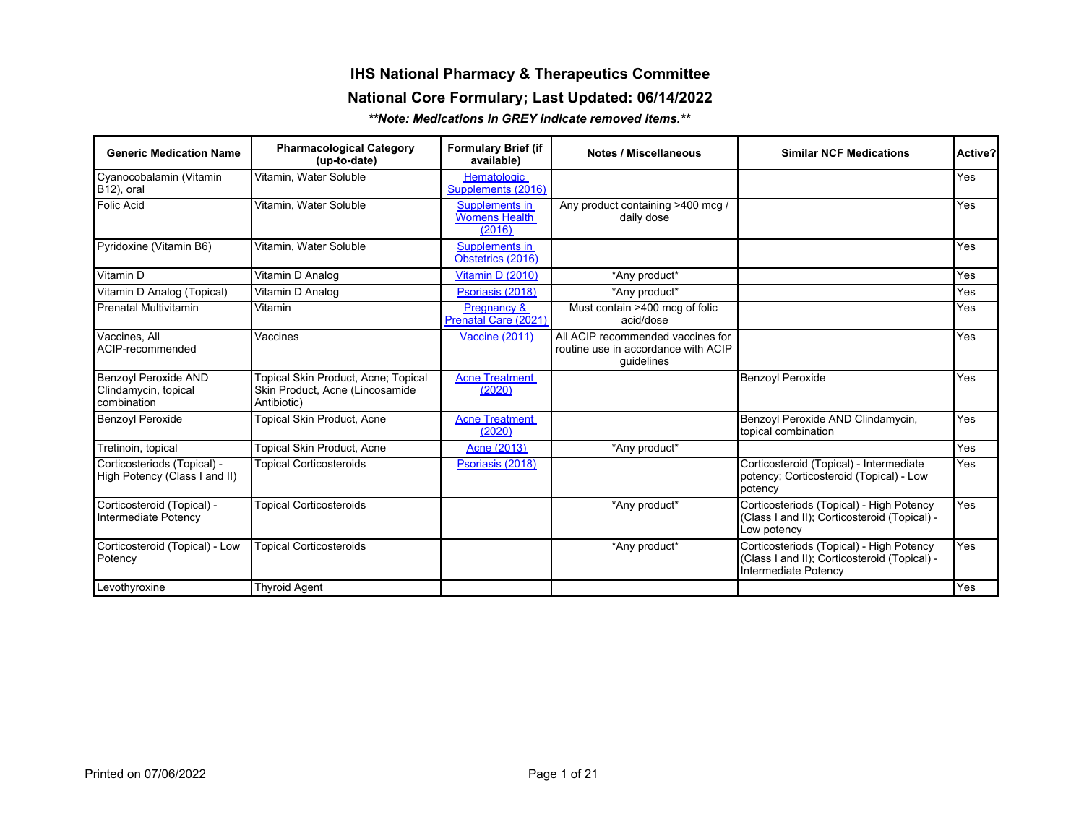## **IHS National Pharmacy & Therapeutics Committee**

#### **National Core Formulary; Last Updated: 06/14/2022**

*\*\*Note: Medications in GREY indicate removed items.\*\** 

| <b>Generic Medication Name</b>                               | <b>Pharmacological Category</b><br>(up-to-date)                                       | <b>Formulary Brief (if</b><br>available)         | <b>Notes / Miscellaneous</b>                                                           | <b>Similar NCF Medications</b>                                                                                   | Active? |
|--------------------------------------------------------------|---------------------------------------------------------------------------------------|--------------------------------------------------|----------------------------------------------------------------------------------------|------------------------------------------------------------------------------------------------------------------|---------|
| Cyanocobalamin (Vitamin<br>B <sub>12</sub> ), oral           | Vitamin. Water Soluble                                                                | <b>Hematologic</b><br>Supplements (2016)         |                                                                                        |                                                                                                                  | Yes     |
| Folic Acid                                                   | Vitamin. Water Soluble                                                                | Supplements in<br><b>Womens Health</b><br>(2016) | Any product containing >400 mcg /<br>daily dose                                        |                                                                                                                  | Yes     |
| Pyridoxine (Vitamin B6)                                      | Vitamin. Water Soluble                                                                | Supplements in<br>Obstetrics (2016)              |                                                                                        |                                                                                                                  | Yes     |
| Vitamin D                                                    | Vitamin D Analog                                                                      | Vitamin D (2010)                                 | *Any product*                                                                          |                                                                                                                  | Yes     |
| Vitamin D Analog (Topical)                                   | Vitamin D Analog                                                                      | Psoriasis (2018)                                 | *Any product*                                                                          |                                                                                                                  | Yes     |
| Prenatal Multivitamin                                        | Vitamin                                                                               | Pregnancy &<br>Prenatal Care (2021)              | Must contain >400 mcg of folic<br>acid/dose                                            |                                                                                                                  | Yes     |
| Vaccines. All<br>ACIP-recommended                            | Vaccines                                                                              | <b>Vaccine (2011)</b>                            | All ACIP recommended vaccines for<br>routine use in accordance with ACIP<br>quidelines |                                                                                                                  | Yes     |
| Benzoyl Peroxide AND<br>Clindamycin, topical<br>combination  | Topical Skin Product, Acne; Topical<br>Skin Product, Acne (Lincosamide<br>Antibiotic) | <b>Acne Treatment</b><br>(2020)                  |                                                                                        | Benzoyl Peroxide                                                                                                 | Yes     |
| <b>Benzoyl Peroxide</b>                                      | <b>Topical Skin Product, Acne</b>                                                     | <b>Acne Treatment</b><br>(2020)                  |                                                                                        | Benzoyl Peroxide AND Clindamycin,<br>topical combination                                                         | Yes     |
| Tretinoin, topical                                           | <b>Topical Skin Product, Acne</b>                                                     | Acne (2013)                                      | *Any product*                                                                          |                                                                                                                  | Yes     |
| Corticosteriods (Topical) -<br>High Potency (Class I and II) | <b>Topical Corticosteroids</b>                                                        | Psoriasis (2018)                                 |                                                                                        | Corticosteroid (Topical) - Intermediate<br>potency; Corticosteroid (Topical) - Low<br>potency                    | Yes     |
| Corticosteroid (Topical) -<br>Intermediate Potency           | <b>Topical Corticosteroids</b>                                                        |                                                  | *Any product*                                                                          | Corticosteriods (Topical) - High Potency<br>(Class I and II); Corticosteroid (Topical) -<br>Low potency          | Yes     |
| Corticosteroid (Topical) - Low<br>Potency                    | <b>Topical Corticosteroids</b>                                                        |                                                  | *Any product*                                                                          | Corticosteriods (Topical) - High Potency<br>(Class I and II); Corticosteroid (Topical) -<br>Intermediate Potency | Yes     |
| Levothyroxine                                                | <b>Thyroid Agent</b>                                                                  |                                                  |                                                                                        |                                                                                                                  | Yes     |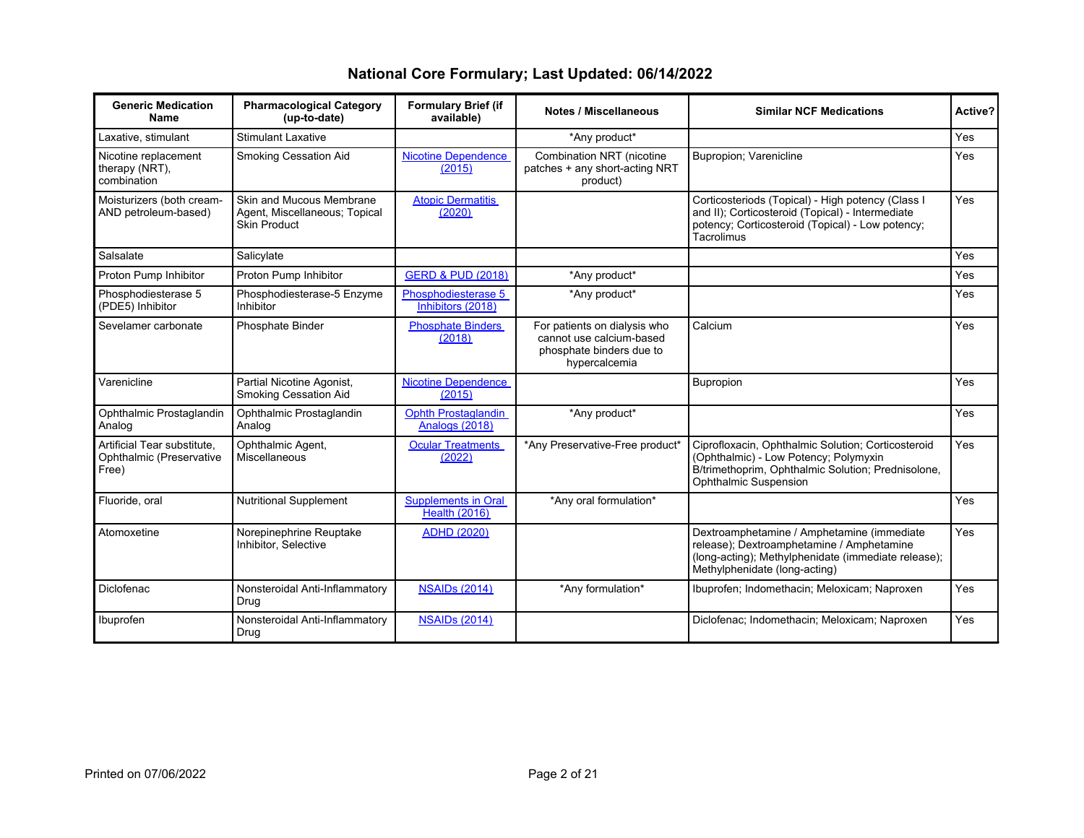| <b>Generic Medication</b><br><b>Name</b>                         | <b>Pharmacological Category</b><br>(up-to-date)                                  | <b>Formulary Brief (if</b><br>available)           | <b>Notes / Miscellaneous</b>                                                                          | <b>Similar NCF Medications</b>                                                                                                                                                  | Active?    |
|------------------------------------------------------------------|----------------------------------------------------------------------------------|----------------------------------------------------|-------------------------------------------------------------------------------------------------------|---------------------------------------------------------------------------------------------------------------------------------------------------------------------------------|------------|
| Laxative, stimulant                                              | <b>Stimulant Laxative</b>                                                        |                                                    | *Any product*                                                                                         |                                                                                                                                                                                 | Yes        |
| Nicotine replacement<br>therapy (NRT),<br>combination            | Smoking Cessation Aid                                                            | <b>Nicotine Dependence</b><br>(2015)               | Combination NRT (nicotine<br>patches + any short-acting NRT<br>product)                               | <b>Bupropion: Varenicline</b>                                                                                                                                                   | <b>Yes</b> |
| Moisturizers (both cream-<br>AND petroleum-based)                | Skin and Mucous Membrane<br>Agent, Miscellaneous; Topical<br><b>Skin Product</b> | <b>Atopic Dermatitis</b><br>(2020)                 |                                                                                                       | Corticosteriods (Topical) - High potency (Class I<br>and II); Corticosteroid (Topical) - Intermediate<br>potency; Corticosteroid (Topical) - Low potency;<br>Tacrolimus         | <b>Yes</b> |
| Salsalate                                                        | Salicylate                                                                       |                                                    |                                                                                                       |                                                                                                                                                                                 | Yes        |
| Proton Pump Inhibitor                                            | Proton Pump Inhibitor                                                            | <b>GERD &amp; PUD (2018)</b>                       | *Any product*                                                                                         |                                                                                                                                                                                 | Yes        |
| Phosphodiesterase 5<br>(PDE5) Inhibitor                          | Phosphodiesterase-5 Enzyme<br>Inhibitor                                          | Phosphodiesterase 5<br>Inhibitors (2018)           | *Any product*                                                                                         |                                                                                                                                                                                 | Yes        |
| Sevelamer carbonate                                              | Phosphate Binder                                                                 | <b>Phosphate Binders</b><br>(2018)                 | For patients on dialysis who<br>cannot use calcium-based<br>phosphate binders due to<br>hypercalcemia | Calcium                                                                                                                                                                         | <b>Yes</b> |
| Varenicline                                                      | Partial Nicotine Agonist,<br>Smoking Cessation Aid                               | <b>Nicotine Dependence</b><br>(2015)               |                                                                                                       | Bupropion                                                                                                                                                                       | <b>Yes</b> |
| Ophthalmic Prostaglandin<br>Analog                               | Ophthalmic Prostaglandin<br>Analog                                               | Ophth Prostaglandin<br>Analogs (2018)              | *Any product*                                                                                         |                                                                                                                                                                                 | <b>Yes</b> |
| Artificial Tear substitute.<br>Ophthalmic (Preservative<br>Free) | Ophthalmic Agent,<br>Miscellaneous                                               | <b>Ocular Treatments</b><br>(2022)                 | *Any Preservative-Free product*                                                                       | Ciprofloxacin, Ophthalmic Solution; Corticosteroid<br>(Ophthalmic) - Low Potency; Polymyxin<br>B/trimethoprim, Ophthalmic Solution; Prednisolone,<br>Ophthalmic Suspension      | Yes        |
| Fluoride, oral                                                   | Nutritional Supplement                                                           | <b>Supplements in Oral</b><br><b>Health (2016)</b> | *Any oral formulation*                                                                                |                                                                                                                                                                                 | <b>Yes</b> |
| Atomoxetine                                                      | Norepinephrine Reuptake<br>Inhibitor, Selective                                  | <b>ADHD (2020)</b>                                 |                                                                                                       | Dextroamphetamine / Amphetamine (immediate<br>release); Dextroamphetamine / Amphetamine<br>(long-acting); Methylphenidate (immediate release);<br>Methylphenidate (long-acting) | <b>Yes</b> |
| Diclofenac                                                       | Nonsteroidal Anti-Inflammatory<br>Drug                                           | <b>NSAIDs (2014)</b>                               | *Any formulation*                                                                                     | Ibuprofen; Indomethacin; Meloxicam; Naproxen                                                                                                                                    | <b>Yes</b> |
| Ibuprofen                                                        | Nonsteroidal Anti-Inflammatory<br>Drug                                           | <b>NSAIDs (2014)</b>                               |                                                                                                       | Diclofenac; Indomethacin; Meloxicam; Naproxen                                                                                                                                   | <b>Yes</b> |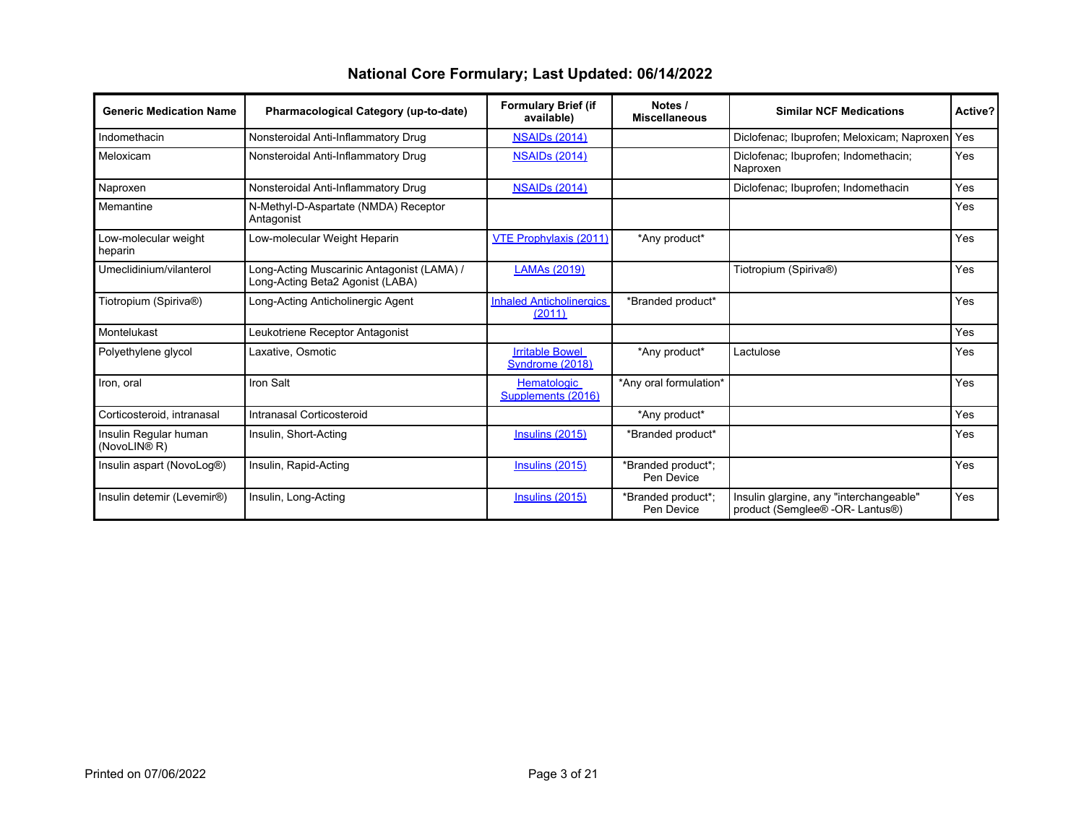| <b>Generic Medication Name</b>                    | Pharmacological Category (up-to-date)                                          | <b>Formulary Brief (if</b><br>available)  | Notes /<br><b>Miscellaneous</b>  | <b>Similar NCF Medications</b>                                             | Active? |
|---------------------------------------------------|--------------------------------------------------------------------------------|-------------------------------------------|----------------------------------|----------------------------------------------------------------------------|---------|
| Indomethacin                                      | Nonsteroidal Anti-Inflammatory Drug                                            | <b>NSAIDs (2014)</b>                      |                                  | Diclofenac; Ibuprofen; Meloxicam; Naproxen                                 | I Yes   |
| Meloxicam                                         | Nonsteroidal Anti-Inflammatory Drug                                            | <b>NSAIDs (2014)</b>                      |                                  | Diclofenac; Ibuprofen; Indomethacin;<br>Naproxen                           | Yes     |
| Naproxen                                          | Nonsteroidal Anti-Inflammatory Drug                                            | <b>NSAIDs (2014)</b>                      |                                  | Diclofenac; Ibuprofen; Indomethacin                                        | Yes     |
| Memantine                                         | N-Methyl-D-Aspartate (NMDA) Receptor<br>Antagonist                             |                                           |                                  |                                                                            | Yes     |
| Low-molecular weight<br>heparin                   | Low-molecular Weight Heparin                                                   | <b>VTE Prophylaxis (2011)</b>             | *Any product*                    |                                                                            | Yes     |
| Umeclidinium/vilanterol                           | Long-Acting Muscarinic Antagonist (LAMA) /<br>Long-Acting Beta2 Agonist (LABA) | LAMAs (2019)                              |                                  | Tiotropium (Spiriva®)                                                      | Yes     |
| Tiotropium (Spiriva®)                             | Long-Acting Anticholinergic Agent                                              | <b>Inhaled Anticholinergics</b><br>(2011) | *Branded product*                |                                                                            | Yes     |
| Montelukast                                       | Leukotriene Receptor Antagonist                                                |                                           |                                  |                                                                            | Yes     |
| Polyethylene glycol                               | Laxative, Osmotic                                                              | <b>Irritable Bowel</b><br>Syndrome (2018) | *Any product*                    | Lactulose                                                                  | Yes     |
| Iron, oral                                        | Iron Salt                                                                      | Hematologic<br>Supplements (2016)         | *Any oral formulation*           |                                                                            | Yes     |
| Corticosteroid, intranasal                        | Intranasal Corticosteroid                                                      |                                           | *Any product*                    |                                                                            | Yes     |
| Insulin Regular human<br>(NovoLIN <sup>®</sup> R) | Insulin, Short-Acting                                                          | Insulins (2015)                           | *Branded product*                |                                                                            | Yes     |
| Insulin aspart (NovoLog®)                         | Insulin, Rapid-Acting                                                          | Insulins (2015)                           | *Branded product*;<br>Pen Device |                                                                            | Yes     |
| Insulin detemir (Levemir®)                        | Insulin, Long-Acting                                                           | Insulins $(2015)$                         | *Branded product*:<br>Pen Device | Insulin glargine, any "interchangeable"<br>product (Semglee® -OR- Lantus®) | Yes     |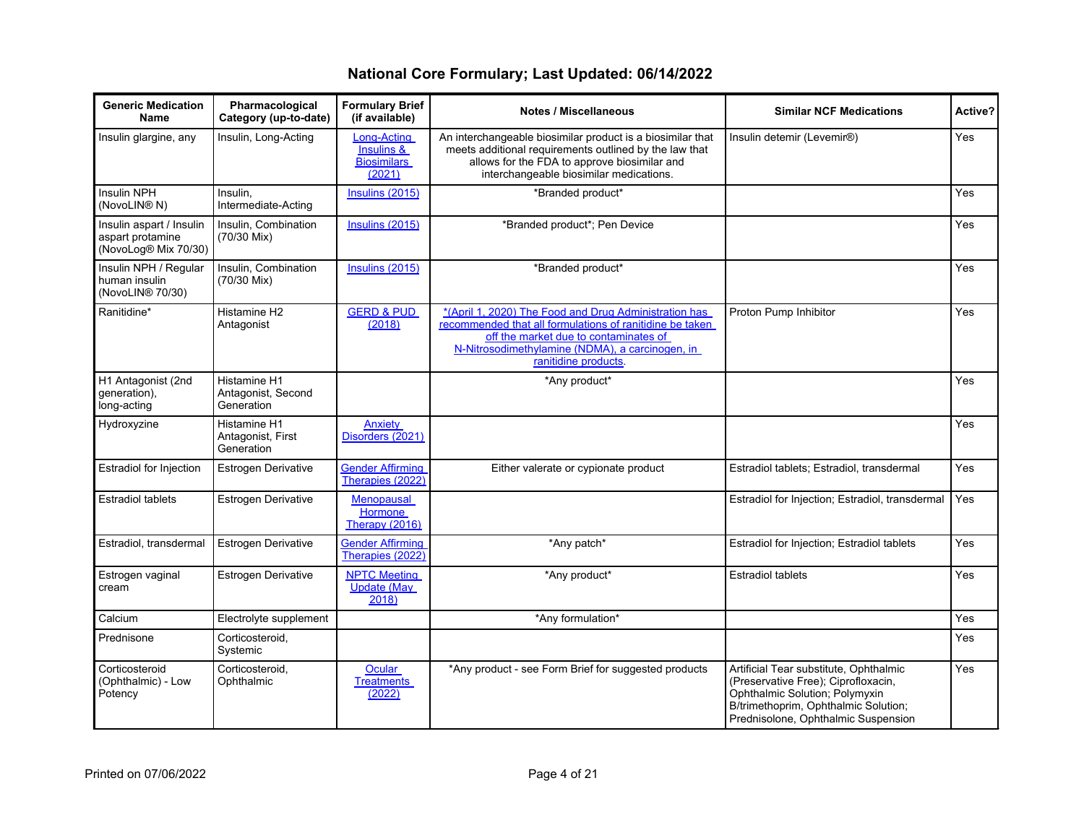| <b>Generic Medication</b><br><b>Name</b>                             | Pharmacological<br>Category (up-to-date)         | <b>Formulary Brief</b><br>(if available)                  | <b>Notes / Miscellaneous</b>                                                                                                                                                                                                          | <b>Similar NCF Medications</b>                                                                                                                                                                 | Active?    |
|----------------------------------------------------------------------|--------------------------------------------------|-----------------------------------------------------------|---------------------------------------------------------------------------------------------------------------------------------------------------------------------------------------------------------------------------------------|------------------------------------------------------------------------------------------------------------------------------------------------------------------------------------------------|------------|
| Insulin glargine, any                                                | Insulin, Long-Acting                             | Long-Acting<br>Insulins &<br><b>Biosimilars</b><br>(2021) | An interchangeable biosimilar product is a biosimilar that<br>meets additional requirements outlined by the law that<br>allows for the FDA to approve biosimilar and<br>interchangeable biosimilar medications.                       | Insulin detemir (Levemir®)                                                                                                                                                                     | <b>Yes</b> |
| Insulin NPH<br>(NovoLIN <sup>®</sup> N)                              | Insulin.<br>Intermediate-Acting                  | Insulins (2015)                                           | *Branded product*                                                                                                                                                                                                                     |                                                                                                                                                                                                | Yes        |
| Insulin aspart / Insulin<br>aspart protamine<br>(NovoLog® Mix 70/30) | Insulin, Combination<br>(70/30 Mix)              | Insulins (2015)                                           | *Branded product*; Pen Device                                                                                                                                                                                                         |                                                                                                                                                                                                | Yes        |
| Insulin NPH / Regular<br>human insulin<br>(NovoLIN® 70/30)           | Insulin, Combination<br>(70/30 Mix)              | Insulins $(2015)$                                         | *Branded product*                                                                                                                                                                                                                     |                                                                                                                                                                                                | Yes        |
| Ranitidine*                                                          | Histamine H <sub>2</sub><br>Antagonist           | <b>GERD &amp; PUD</b><br>(2018)                           | *(April 1, 2020) The Food and Drug Administration has<br>recommended that all formulations of ranitidine be taken<br>off the market due to contaminates of<br>N-Nitrosodimethylamine (NDMA), a carcinogen, in<br>ranitidine products. | Proton Pump Inhibitor                                                                                                                                                                          | Yes        |
| H1 Antagonist (2nd<br>generation),<br>long-acting                    | Histamine H1<br>Antagonist, Second<br>Generation |                                                           | *Any product*                                                                                                                                                                                                                         |                                                                                                                                                                                                | Yes        |
| Hydroxyzine                                                          | Histamine H1<br>Antagonist, First<br>Generation  | Anxiety<br>Disorders (2021)                               |                                                                                                                                                                                                                                       |                                                                                                                                                                                                | Yes        |
| <b>Estradiol for Injection</b>                                       | <b>Estrogen Derivative</b>                       | <b>Gender Affirming</b><br>Therapies (2022)               | Either valerate or cypionate product                                                                                                                                                                                                  | Estradiol tablets; Estradiol, transdermal                                                                                                                                                      | <b>Yes</b> |
| <b>Estradiol tablets</b>                                             | Estrogen Derivative                              | <b>Menopausal</b><br><b>Hormone</b><br>Therapy (2016)     |                                                                                                                                                                                                                                       | Estradiol for Injection; Estradiol, transdermal                                                                                                                                                | Yes        |
| Estradiol, transdermal                                               | <b>Estrogen Derivative</b>                       | <b>Gender Affirming</b><br>Therapies (2022)               | *Any patch*                                                                                                                                                                                                                           | Estradiol for Injection; Estradiol tablets                                                                                                                                                     | <b>Yes</b> |
| Estrogen vaginal<br>cream                                            | <b>Estrogen Derivative</b>                       | <b>NPTC Meeting</b><br><b>Update (May</b><br>2018         | *Any product*                                                                                                                                                                                                                         | <b>Estradiol tablets</b>                                                                                                                                                                       | <b>Yes</b> |
| Calcium                                                              | Electrolyte supplement                           |                                                           | *Any formulation*                                                                                                                                                                                                                     |                                                                                                                                                                                                | <b>Yes</b> |
| Prednisone                                                           | Corticosteroid,<br>Systemic                      |                                                           |                                                                                                                                                                                                                                       |                                                                                                                                                                                                | Yes        |
| Corticosteroid<br>(Ophthalmic) - Low<br>Potency                      | Corticosteroid,<br>Ophthalmic                    | Ocular<br><b>Treatments</b><br>(2022)                     | *Any product - see Form Brief for suggested products                                                                                                                                                                                  | Artificial Tear substitute, Ophthalmic<br>(Preservative Free); Ciprofloxacin,<br>Ophthalmic Solution; Polymyxin<br>B/trimethoprim, Ophthalmic Solution;<br>Prednisolone, Ophthalmic Suspension | Yes        |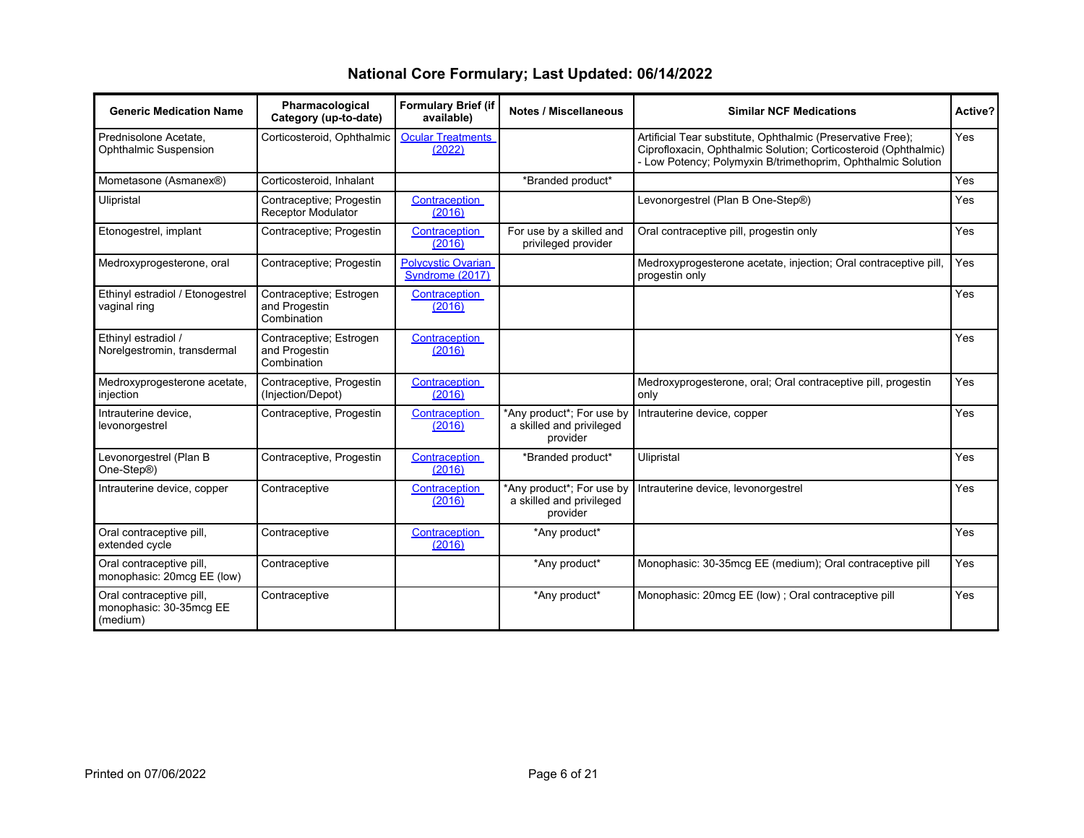| <b>Generic Medication Name</b>                                  | Pharmacological<br>Category (up-to-date)                | <b>Formulary Brief (if</b><br>available)     | <b>Notes / Miscellaneous</b>                                      | <b>Similar NCF Medications</b>                                                                                                                                                                 | Active?    |
|-----------------------------------------------------------------|---------------------------------------------------------|----------------------------------------------|-------------------------------------------------------------------|------------------------------------------------------------------------------------------------------------------------------------------------------------------------------------------------|------------|
| Prednisolone Acetate.<br>Ophthalmic Suspension                  | Corticosteroid, Ophthalmic                              | <b>Ocular Treatments</b><br>(2022)           |                                                                   | Artificial Tear substitute, Ophthalmic (Preservative Free);<br>Ciprofloxacin, Ophthalmic Solution; Corticosteroid (Ophthalmic)<br>- Low Potency; Polymyxin B/trimethoprim, Ophthalmic Solution | Yes        |
| Mometasone (Asmanex®)                                           | Corticosteroid, Inhalant                                |                                              | *Branded product*                                                 |                                                                                                                                                                                                | Yes        |
| Ulipristal                                                      | Contraceptive; Progestin<br><b>Receptor Modulator</b>   | Contraception<br>(2016)                      |                                                                   | Levonorgestrel (Plan B One-Step®)                                                                                                                                                              | <b>Yes</b> |
| Etonogestrel, implant                                           | Contraceptive; Progestin                                | Contraception<br>(2016)                      | For use by a skilled and<br>privileged provider                   | Oral contraceptive pill, progestin only                                                                                                                                                        | <b>Yes</b> |
| Medroxyprogesterone, oral                                       | Contraceptive; Progestin                                | <b>Polycystic Ovarian</b><br>Syndrome (2017) |                                                                   | Medroxyprogesterone acetate, injection; Oral contraceptive pill,<br>progestin only                                                                                                             | Yes        |
| Ethinyl estradiol / Etonogestrel<br>vaginal ring                | Contraceptive; Estrogen<br>and Progestin<br>Combination | Contraception<br>(2016)                      |                                                                   |                                                                                                                                                                                                | Yes        |
| Ethinyl estradiol /<br>Norelgestromin, transdermal              | Contraceptive; Estrogen<br>and Progestin<br>Combination | Contraception<br>(2016)                      |                                                                   |                                                                                                                                                                                                | <b>Yes</b> |
| Medroxyprogesterone acetate,<br>injection                       | Contraceptive, Progestin<br>(Injection/Depot)           | Contraception<br>(2016)                      |                                                                   | Medroxyprogesterone, oral; Oral contraceptive pill, progestin<br>only                                                                                                                          | <b>Yes</b> |
| Intrauterine device.<br>levonorgestrel                          | Contraceptive, Progestin                                | Contraception<br>(2016)                      | *Any product*; For use by<br>a skilled and privileged<br>provider | Intrauterine device, copper                                                                                                                                                                    | Yes        |
| Levonorgestrel (Plan B<br>One-Step®)                            | Contraceptive, Progestin                                | Contraception<br>(2016)                      | *Branded product*                                                 | Ulipristal                                                                                                                                                                                     | Yes        |
| Intrauterine device, copper                                     | Contraceptive                                           | Contraception<br>(2016)                      | *Any product*; For use by<br>a skilled and privileged<br>provider | Intrauterine device, levonorgestrel                                                                                                                                                            | Yes        |
| Oral contraceptive pill,<br>extended cycle                      | Contraceptive                                           | Contraception<br>(2016)                      | *Any product*                                                     |                                                                                                                                                                                                | Yes        |
| Oral contraceptive pill,<br>monophasic: 20mcq EE (low)          | Contraceptive                                           |                                              | *Any product*                                                     | Monophasic: 30-35mcg EE (medium); Oral contraceptive pill                                                                                                                                      | Yes        |
| Oral contraceptive pill,<br>monophasic: 30-35mcg EE<br>(medium) | Contraceptive                                           |                                              | *Any product*                                                     | Monophasic: 20mcg EE (low); Oral contraceptive pill                                                                                                                                            | Yes        |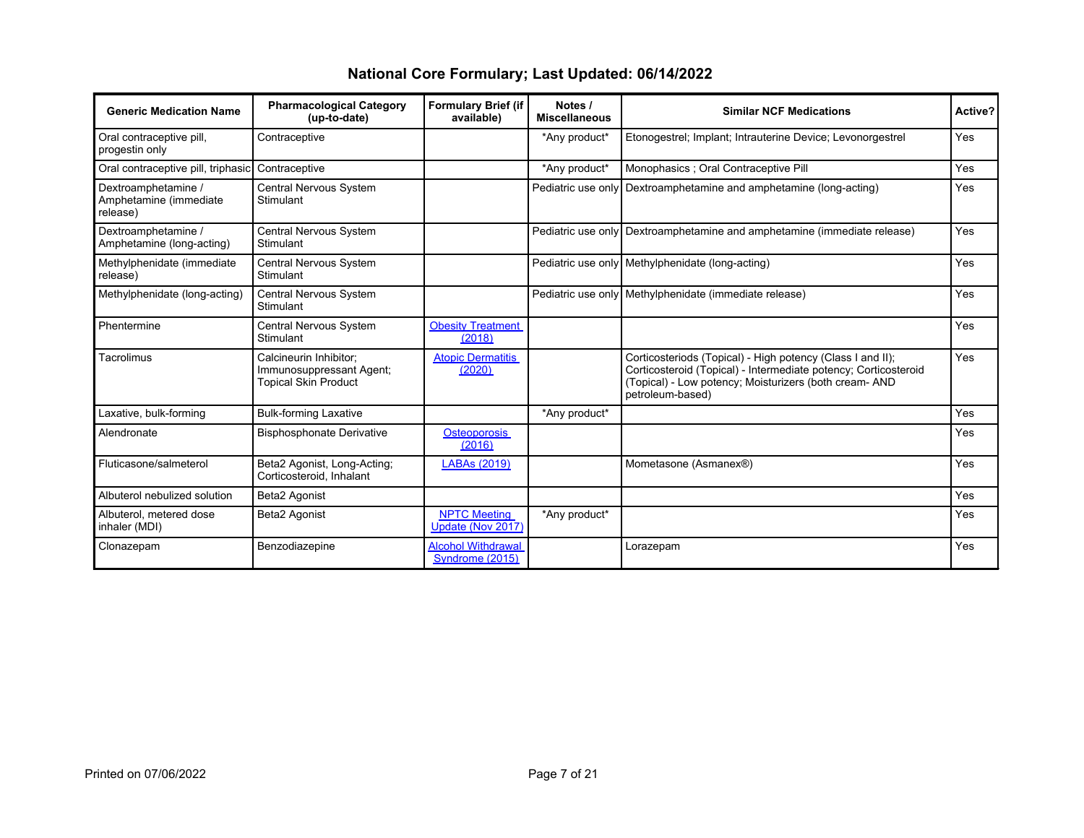| <b>Generic Medication Name</b>                            | <b>Pharmacological Category</b><br>(up-to-date)                                   | <b>Formulary Brief (if</b><br>available)     | Notes /<br><b>Miscellaneous</b> | <b>Similar NCF Medications</b>                                                                                                                                                                              |            |
|-----------------------------------------------------------|-----------------------------------------------------------------------------------|----------------------------------------------|---------------------------------|-------------------------------------------------------------------------------------------------------------------------------------------------------------------------------------------------------------|------------|
| Oral contraceptive pill,<br>progestin only                | Contraceptive                                                                     |                                              | *Any product*                   | Etonogestrel; Implant; Intrauterine Device; Levonorgestrel                                                                                                                                                  | Yes        |
| Oral contraceptive pill, triphasic                        | Contraceptive                                                                     |                                              | *Any product*                   | Monophasics ; Oral Contraceptive Pill                                                                                                                                                                       | Yes        |
| Dextroamphetamine /<br>Amphetamine (immediate<br>release) | Central Nervous System<br>Stimulant                                               |                                              | Pediatric use only              | Dextroamphetamine and amphetamine (long-acting)                                                                                                                                                             | Yes        |
| Dextroamphetamine /<br>Amphetamine (long-acting)          | Central Nervous System<br>Stimulant                                               |                                              | Pediatric use only              | Dextroamphetamine and amphetamine (immediate release)                                                                                                                                                       | Yes        |
| Methylphenidate (immediate<br>release)                    | Central Nervous System<br>Stimulant                                               |                                              |                                 | Pediatric use only Methylphenidate (long-acting)                                                                                                                                                            | Yes        |
| Methylphenidate (long-acting)                             | Central Nervous System<br>Stimulant                                               |                                              |                                 | Pediatric use only Methylphenidate (immediate release)                                                                                                                                                      | Yes        |
| Phentermine                                               | Central Nervous System<br>Stimulant                                               | <b>Obesity Treatment</b><br>(2018)           |                                 |                                                                                                                                                                                                             | <b>Yes</b> |
| Tacrolimus                                                | Calcineurin Inhibitor:<br>Immunosuppressant Agent;<br><b>Topical Skin Product</b> | <b>Atopic Dermatitis</b><br>(2020)           |                                 | Corticosteriods (Topical) - High potency (Class I and II);<br>Corticosteroid (Topical) - Intermediate potency; Corticosteroid<br>(Topical) - Low potency; Moisturizers (both cream- AND<br>petroleum-based) | Yes        |
| Laxative, bulk-forming                                    | <b>Bulk-forming Laxative</b>                                                      |                                              | *Any product*                   |                                                                                                                                                                                                             | Yes        |
| Alendronate                                               | <b>Bisphosphonate Derivative</b>                                                  | Osteoporosis<br>(2016)                       |                                 |                                                                                                                                                                                                             | Yes        |
| Fluticasone/salmeterol                                    | Beta2 Agonist, Long-Acting;<br>Corticosteroid, Inhalant                           | <b>LABAs (2019)</b>                          |                                 | Mometasone (Asmanex®)                                                                                                                                                                                       | Yes        |
| Albuterol nebulized solution                              | Beta2 Agonist                                                                     |                                              |                                 |                                                                                                                                                                                                             | Yes        |
| Albuterol, metered dose<br>inhaler (MDI)                  | Beta2 Agonist                                                                     | <b>NPTC Meeting</b><br>Update (Nov 2017)     | *Any product*                   |                                                                                                                                                                                                             | Yes        |
| Clonazepam                                                | Benzodiazepine                                                                    | <b>Alcohol Withdrawal</b><br>Syndrome (2015) |                                 | Lorazepam                                                                                                                                                                                                   | Yes        |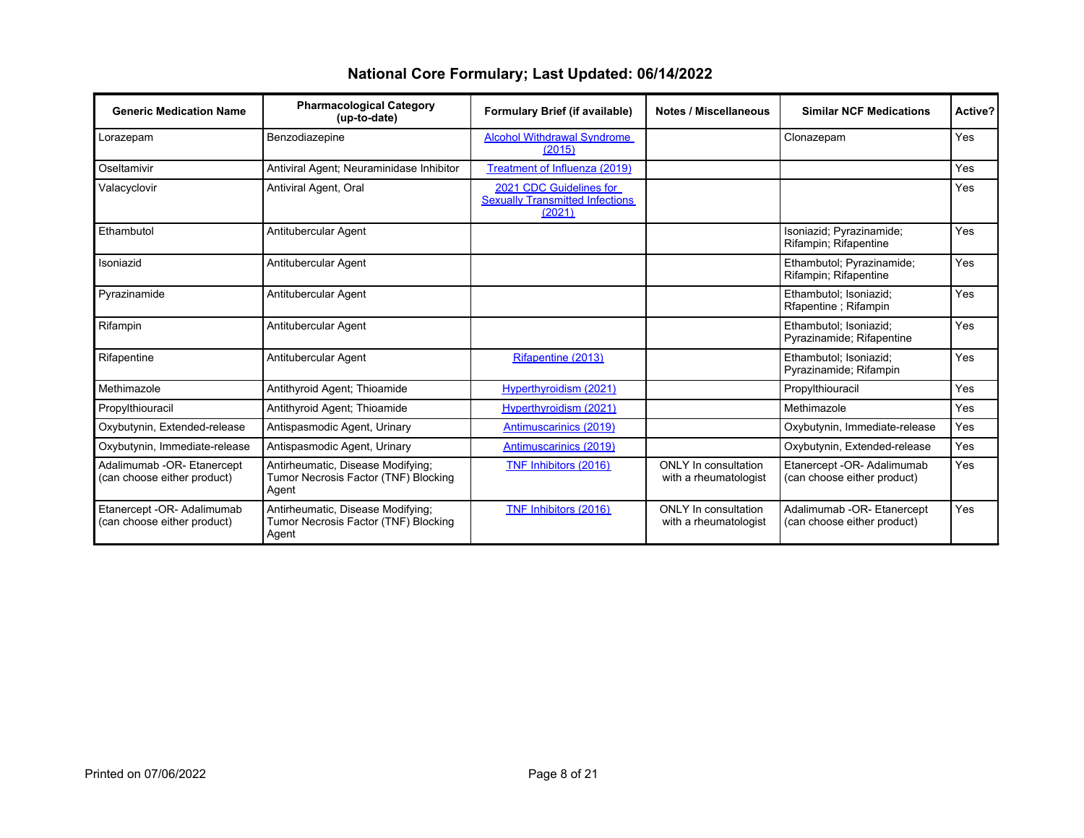| <b>Generic Medication Name</b>                            | <b>Pharmacological Category</b><br>(up-to-date)                                    | Formulary Brief (if available)                                              | <b>Notes / Miscellaneous</b>                  | <b>Similar NCF Medications</b>                            | Active?    |
|-----------------------------------------------------------|------------------------------------------------------------------------------------|-----------------------------------------------------------------------------|-----------------------------------------------|-----------------------------------------------------------|------------|
| Lorazepam                                                 | Benzodiazepine                                                                     | <b>Alcohol Withdrawal Syndrome</b><br>(2015)                                |                                               | Clonazepam                                                | Yes        |
| Oseltamivir                                               | Antiviral Agent; Neuraminidase Inhibitor                                           | Treatment of Influenza (2019)                                               |                                               |                                                           | Yes        |
| Valacyclovir                                              | Antiviral Agent, Oral                                                              | 2021 CDC Guidelines for<br><b>Sexually Transmitted Infections</b><br>(2021) |                                               |                                                           | Yes        |
| Ethambutol                                                | Antitubercular Agent                                                               |                                                                             |                                               | Isoniazid; Pyrazinamide;<br>Rifampin; Rifapentine         | Yes        |
| Isoniazid                                                 | Antitubercular Agent                                                               |                                                                             |                                               | Ethambutol: Pyrazinamide:<br>Rifampin; Rifapentine        | Yes        |
| Pyrazinamide                                              | Antitubercular Agent                                                               |                                                                             |                                               | Ethambutol; Isoniazid;<br>Rfapentine ; Rifampin           | Yes        |
| Rifampin                                                  | Antitubercular Agent                                                               |                                                                             |                                               | Ethambutol; Isoniazid;<br>Pyrazinamide: Rifapentine       | Yes        |
| Rifapentine                                               | Antitubercular Agent                                                               | Rifapentine (2013)                                                          |                                               | Ethambutol; Isoniazid;<br>Pyrazinamide; Rifampin          | Yes        |
| Methimazole                                               | Antithyroid Agent; Thioamide                                                       | Hyperthyroidism (2021)                                                      |                                               | Propylthiouracil                                          | Yes        |
| Propylthiouracil                                          | Antithyroid Agent; Thioamide                                                       | Hyperthyroidism (2021)                                                      |                                               | Methimazole                                               | Yes        |
| Oxybutynin, Extended-release                              | Antispasmodic Agent, Urinary                                                       | Antimuscarinics (2019)                                                      |                                               | Oxybutynin, Immediate-release                             | Yes        |
| Oxybutynin, Immediate-release                             | Antispasmodic Agent, Urinary                                                       | Antimuscarinics (2019)                                                      |                                               | Oxybutynin, Extended-release                              | Yes        |
| Adalimumab -OR- Etanercept<br>(can choose either product) | Antirheumatic, Disease Modifying;<br>Tumor Necrosis Factor (TNF) Blocking<br>Agent | TNF Inhibitors (2016)                                                       | ONLY In consultation<br>with a rheumatologist | Etanercept -OR- Adalimumab<br>(can choose either product) | <b>Yes</b> |
| Etanercept -OR- Adalimumab<br>(can choose either product) | Antirheumatic, Disease Modifying;<br>Tumor Necrosis Factor (TNF) Blocking<br>Agent | TNF Inhibitors (2016)                                                       | ONLY In consultation<br>with a rheumatologist | Adalimumab -OR- Etanercept<br>(can choose either product) | <b>Yes</b> |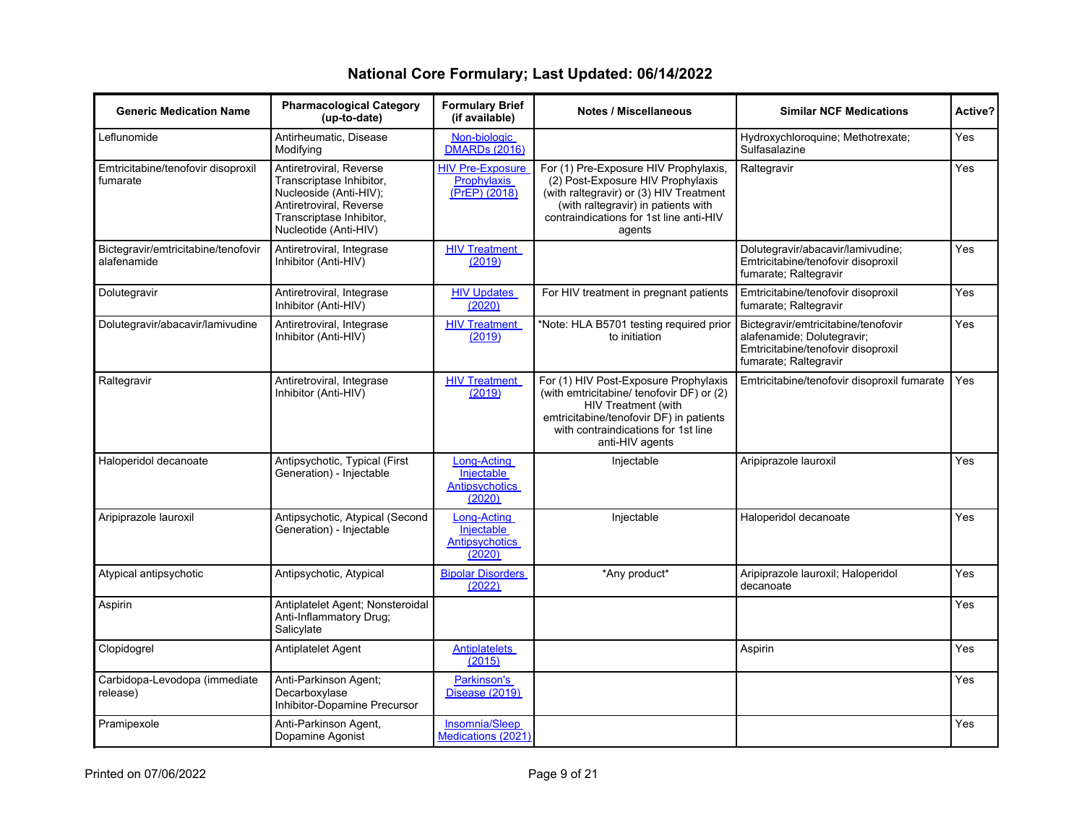| <b>Generic Medication Name</b>                     | <b>Pharmacological Category</b><br>(up-to-date)                                                                                                               | <b>Formulary Brief</b><br>(if available)                            | <b>Notes / Miscellaneous</b>                                                                                                                                                                                      | <b>Similar NCF Medications</b>                                                                                                   | Active?    |
|----------------------------------------------------|---------------------------------------------------------------------------------------------------------------------------------------------------------------|---------------------------------------------------------------------|-------------------------------------------------------------------------------------------------------------------------------------------------------------------------------------------------------------------|----------------------------------------------------------------------------------------------------------------------------------|------------|
| Leflunomide                                        | Antirheumatic, Disease<br>Modifying                                                                                                                           | Non-biologic<br><b>DMARDs</b> (2016)                                |                                                                                                                                                                                                                   | Hydroxychloroquine; Methotrexate;<br>Sulfasalazine                                                                               | Yes        |
| Emtricitabine/tenofovir disoproxil<br>fumarate     | Antiretroviral, Reverse<br>Transcriptase Inhibitor,<br>Nucleoside (Anti-HIV);<br>Antiretroviral, Reverse<br>Transcriptase Inhibitor,<br>Nucleotide (Anti-HIV) | <b>HIV Pre-Exposure</b><br><b>Prophylaxis</b><br>(PrEP) (2018)      | For (1) Pre-Exposure HIV Prophylaxis,<br>(2) Post-Exposure HIV Prophylaxis<br>(with raltegravir) or (3) HIV Treatment<br>(with raltegravir) in patients with<br>contraindications for 1st line anti-HIV<br>agents | Raltegravir                                                                                                                      | Yes        |
| Bictegravir/emtricitabine/tenofovir<br>alafenamide | Antiretroviral, Integrase<br>Inhibitor (Anti-HIV)                                                                                                             | <b>HIV Treatment</b><br>(2019)                                      |                                                                                                                                                                                                                   | Dolutegravir/abacavir/lamivudine;<br>Emtricitabine/tenofovir disoproxil<br>fumarate; Raltegravir                                 | Yes        |
| Dolutegravir                                       | Antiretroviral, Integrase<br>Inhibitor (Anti-HIV)                                                                                                             | <b>HIV Updates</b><br>(2020)                                        | For HIV treatment in pregnant patients                                                                                                                                                                            | Emtricitabine/tenofovir disoproxil<br>fumarate; Raltegravir                                                                      | Yes        |
| Dolutegravir/abacavir/lamivudine                   | Antiretroviral, Integrase<br>Inhibitor (Anti-HIV)                                                                                                             | <b>HIV Treatment</b><br>(2019)                                      | *Note: HLA B5701 testing required prior<br>to initiation                                                                                                                                                          | Bictegravir/emtricitabine/tenofovir<br>alafenamide; Dolutegravir;<br>Emtricitabine/tenofovir disoproxil<br>fumarate; Raltegravir | Yes        |
| Raltegravir                                        | Antiretroviral, Integrase<br>Inhibitor (Anti-HIV)                                                                                                             | <b>HIV Treatment</b><br>(2019)                                      | For (1) HIV Post-Exposure Prophylaxis<br>(with emtricitabine/ tenofovir DF) or (2)<br>HIV Treatment (with<br>emtricitabine/tenofovir DF) in patients<br>with contraindications for 1st line<br>anti-HIV agents    | Emtricitabine/tenofovir disoproxil fumarate                                                                                      | Yes        |
| Haloperidol decanoate                              | Antipsychotic, Typical (First<br>Generation) - Injectable                                                                                                     | Long-Acting<br>Injectable<br><b>Antipsychotics</b><br>(2020)        | Injectable                                                                                                                                                                                                        | Aripiprazole lauroxil                                                                                                            | Yes        |
| Aripiprazole lauroxil                              | Antipsychotic, Atypical (Second<br>Generation) - Injectable                                                                                                   | <b>Long-Acting</b><br>Injectable<br><b>Antipsychotics</b><br>(2020) | Injectable                                                                                                                                                                                                        | Haloperidol decanoate                                                                                                            | <b>Yes</b> |
| Atypical antipsychotic                             | Antipsychotic, Atypical                                                                                                                                       | <b>Bipolar Disorders</b><br>(2022)                                  | *Any product*                                                                                                                                                                                                     | Aripiprazole lauroxil; Haloperidol<br>decanoate                                                                                  | Yes        |
| Aspirin                                            | Antiplatelet Agent; Nonsteroidal<br>Anti-Inflammatory Drug;<br>Salicylate                                                                                     |                                                                     |                                                                                                                                                                                                                   |                                                                                                                                  | Yes        |
| Clopidogrel                                        | <b>Antiplatelet Agent</b>                                                                                                                                     | Antiplatelets<br>(2015)                                             |                                                                                                                                                                                                                   | Aspirin                                                                                                                          | Yes        |
| Carbidopa-Levodopa (immediate<br>release)          | Anti-Parkinson Agent;<br>Decarboxylase<br>Inhibitor-Dopamine Precursor                                                                                        | Parkinson's<br><b>Disease (2019)</b>                                |                                                                                                                                                                                                                   |                                                                                                                                  | Yes        |
| Pramipexole                                        | Anti-Parkinson Agent,<br>Dopamine Agonist                                                                                                                     | Insomnia/Sleep<br>Medications (2021)                                |                                                                                                                                                                                                                   |                                                                                                                                  | <b>Yes</b> |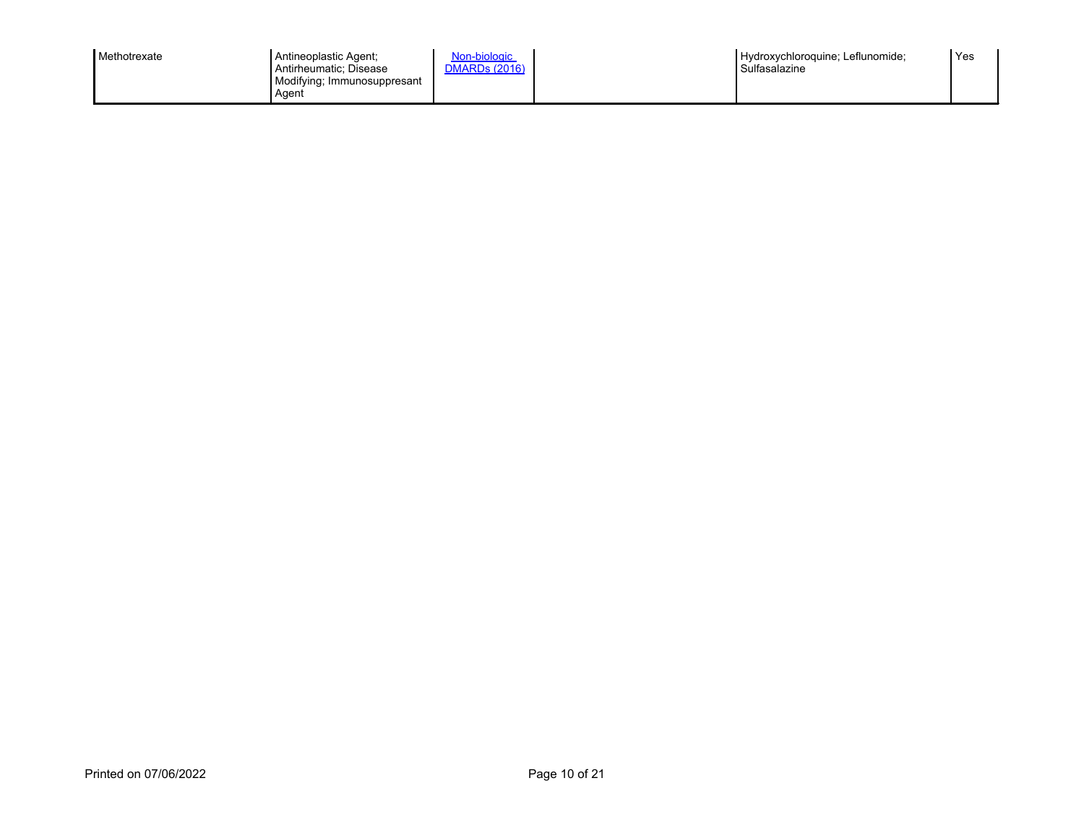| Methotrexate<br>Antineoplastic Agent;<br>Antirheumatic: Disease<br>Aqent | Non-biologic<br><b>DMARDs (2016)</b><br>Modifying; Immunosuppresant |  | Hydroxychloroquine: Leflunomide:<br>Sulfasalazine | 'Yes |
|--------------------------------------------------------------------------|---------------------------------------------------------------------|--|---------------------------------------------------|------|
|--------------------------------------------------------------------------|---------------------------------------------------------------------|--|---------------------------------------------------|------|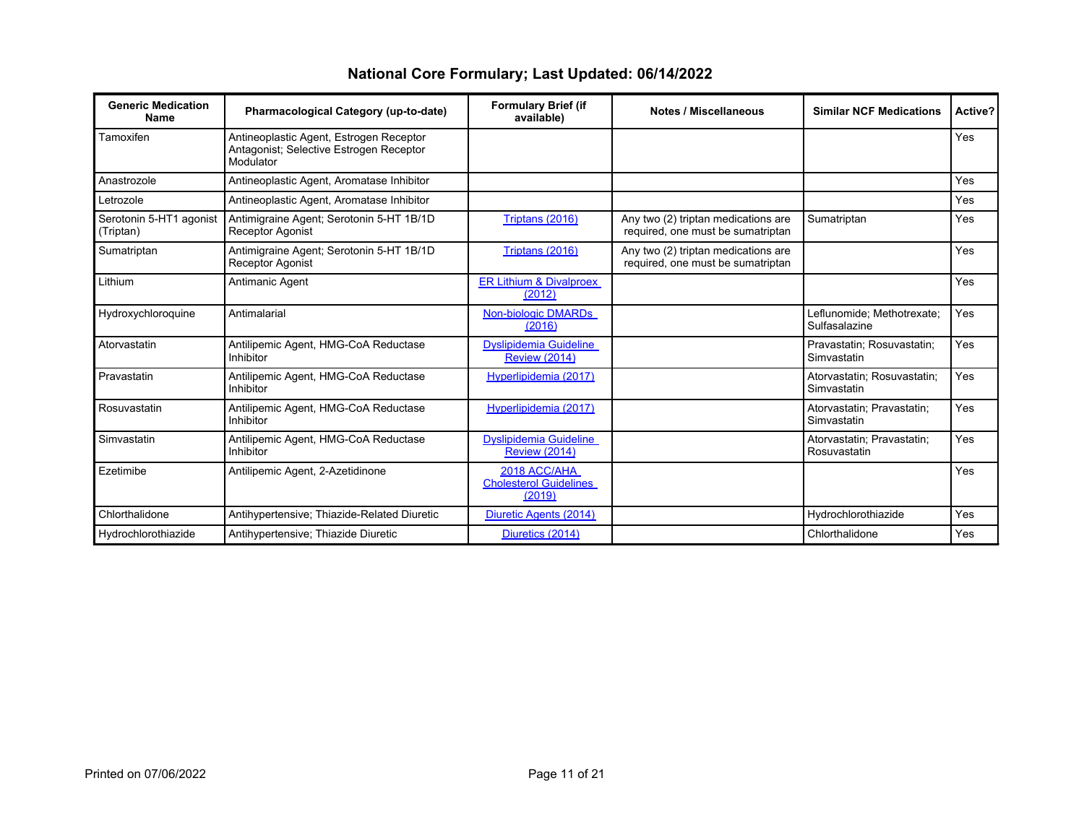| National Core Formulary; Last Updated: 06/14/2022 |
|---------------------------------------------------|
|---------------------------------------------------|

| <b>Generic Medication</b><br><b>Name</b> | Pharmacological Category (up-to-date)                                                           | <b>Formulary Brief (if</b><br>available)                | <b>Notes / Miscellaneous</b>                                             | <b>Similar NCF Medications</b>              | Active?    |
|------------------------------------------|-------------------------------------------------------------------------------------------------|---------------------------------------------------------|--------------------------------------------------------------------------|---------------------------------------------|------------|
| Tamoxifen                                | Antineoplastic Agent, Estrogen Receptor<br>Antagonist; Selective Estrogen Receptor<br>Modulator |                                                         |                                                                          |                                             | Yes        |
| Anastrozole                              | Antineoplastic Agent, Aromatase Inhibitor                                                       |                                                         |                                                                          |                                             | Yes        |
| Letrozole                                | Antineoplastic Agent, Aromatase Inhibitor                                                       |                                                         |                                                                          |                                             | Yes        |
| Serotonin 5-HT1 agonist<br>(Triptan)     | Antimigraine Agent: Serotonin 5-HT 1B/1D<br><b>Receptor Agonist</b>                             | Triptans (2016)                                         | Any two (2) triptan medications are<br>required, one must be sumatriptan | Sumatriptan                                 | Yes        |
| Sumatriptan                              | Antimigraine Agent; Serotonin 5-HT 1B/1D<br><b>Receptor Agonist</b>                             | Triptans (2016)                                         | Any two (2) triptan medications are<br>required, one must be sumatriptan |                                             | Yes        |
| Lithium                                  | Antimanic Agent                                                                                 | <b>ER Lithium &amp; Divalproex</b><br>(2012)            |                                                                          |                                             | Yes        |
| Hydroxychloroquine                       | Antimalarial                                                                                    | Non-biologic DMARDs<br>(2016)                           |                                                                          | Leflunomide; Methotrexate;<br>Sulfasalazine | <b>Yes</b> |
| Atorvastatin                             | Antilipemic Agent, HMG-CoA Reductase<br>Inhibitor                                               | <b>Dyslipidemia Guideline</b><br><b>Review (2014)</b>   |                                                                          | Pravastatin; Rosuvastatin;<br>Simvastatin   | Yes        |
| Pravastatin                              | Antilipemic Agent, HMG-CoA Reductase<br>Inhibitor                                               | Hyperlipidemia (2017)                                   |                                                                          | Atorvastatin; Rosuvastatin;<br>Simvastatin  | Yes        |
| Rosuvastatin                             | Antilipemic Agent, HMG-CoA Reductase<br>Inhibitor                                               | Hyperlipidemia (2017)                                   |                                                                          | Atorvastatin: Pravastatin:<br>Simvastatin   | Yes        |
| Simvastatin                              | Antilipemic Agent, HMG-CoA Reductase<br>Inhibitor                                               | <b>Dyslipidemia Guideline</b><br><b>Review (2014)</b>   |                                                                          | Atorvastatin; Pravastatin;<br>Rosuvastatin  | Yes        |
| Ezetimibe                                | Antilipemic Agent, 2-Azetidinone                                                                | 2018 ACC/AHA<br><b>Cholesterol Guidelines</b><br>(2019) |                                                                          |                                             | Yes        |
| Chlorthalidone                           | Antihypertensive; Thiazide-Related Diuretic                                                     | Diuretic Agents (2014)                                  |                                                                          | Hydrochlorothiazide                         | Yes        |
| Hydrochlorothiazide                      | Antihypertensive; Thiazide Diuretic                                                             | Diuretics (2014)                                        |                                                                          | Chlorthalidone                              | Yes        |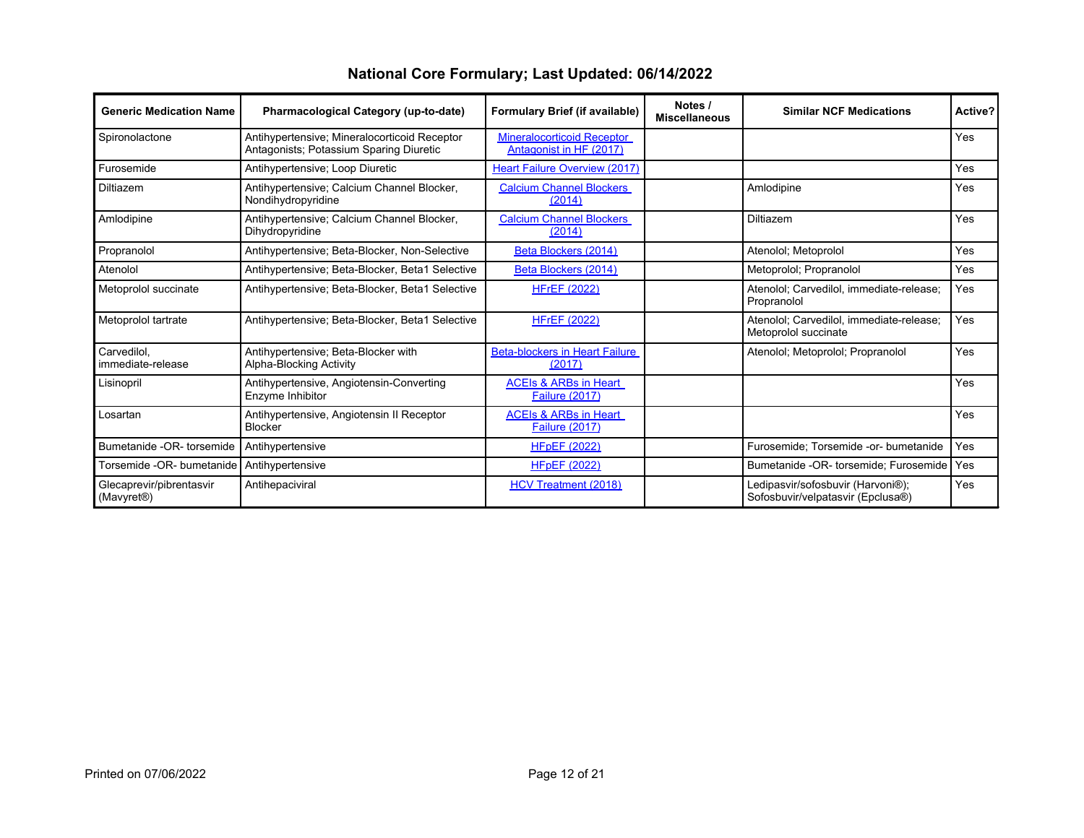| <b>Generic Medication Name</b>                      | Pharmacological Category (up-to-date)                                                   | Formulary Brief (if available)                               | Notes /<br><b>Miscellaneous</b> | <b>Similar NCF Medications</b>                                         | Active? |
|-----------------------------------------------------|-----------------------------------------------------------------------------------------|--------------------------------------------------------------|---------------------------------|------------------------------------------------------------------------|---------|
| Spironolactone                                      | Antihypertensive; Mineralocorticoid Receptor<br>Antagonists; Potassium Sparing Diuretic | <b>Mineralocorticoid Receptor</b><br>Antagonist in HF (2017) |                                 |                                                                        | Yes     |
| Furosemide                                          | Antihypertensive; Loop Diuretic                                                         | Heart Failure Overview (2017)                                |                                 |                                                                        | Yes     |
| Diltiazem                                           | Antihypertensive; Calcium Channel Blocker,<br>Nondihydropyridine                        | <b>Calcium Channel Blockers</b><br>(2014)                    |                                 | Amlodipine                                                             | Yes     |
| Amlodipine                                          | Antihypertensive; Calcium Channel Blocker,<br>Dihydropyridine                           | <b>Calcium Channel Blockers</b><br>(2014)                    |                                 | Diltiazem                                                              | Yes     |
| Propranolol                                         | Antihypertensive; Beta-Blocker, Non-Selective                                           | Beta Blockers (2014)                                         |                                 | Atenolol; Metoprolol                                                   | Yes     |
| Atenolol                                            | Antihypertensive; Beta-Blocker, Beta1 Selective                                         | Beta Blockers (2014)                                         |                                 | Metoprolol; Propranolol                                                | Yes     |
| Metoprolol succinate                                | Antihypertensive; Beta-Blocker, Beta1 Selective                                         | <b>HFrEF (2022)</b>                                          |                                 | Atenolol; Carvedilol, immediate-release;<br>Propranolol                | Yes     |
| Metoprolol tartrate                                 | Antihypertensive; Beta-Blocker, Beta1 Selective                                         | <b>HFrEF (2022)</b>                                          |                                 | Atenolol; Carvedilol, immediate-release;<br>Metoprolol succinate       | Yes     |
| Carvedilol.<br>immediate-release                    | Antihypertensive; Beta-Blocker with<br>Alpha-Blocking Activity                          | <b>Beta-blockers in Heart Failure</b><br>(2017)              |                                 | Atenolol; Metoprolol; Propranolol                                      | Yes     |
| Lisinopril                                          | Antihypertensive, Angiotensin-Converting<br>Enzyme Inhibitor                            | <b>ACEIS &amp; ARBS in Heart</b><br><b>Failure (2017)</b>    |                                 |                                                                        | Yes     |
| Losartan                                            | Antihypertensive, Angiotensin II Receptor<br><b>Blocker</b>                             | <b>ACEIS &amp; ARBS in Heart</b><br><b>Failure (2017)</b>    |                                 |                                                                        | Yes     |
| Bumetanide -OR- torsemide                           | Antihypertensive                                                                        | <b>HFpEF (2022)</b>                                          |                                 | Furosemide; Torsemide -or- bumetanide                                  | Yes     |
| Torsemide -OR- bumetanide                           | Antihypertensive                                                                        | <b>HFpEF (2022)</b>                                          |                                 | Bumetanide -OR- torsemide; Furosemide                                  | Yes     |
| Glecaprevir/pibrentasvir<br>(Mavyret <sup>®</sup> ) | Antihepaciviral                                                                         | HCV Treatment (2018)                                         |                                 | Ledipasvir/sofosbuvir (Harvoni®);<br>Sofosbuvir/velpatasvir (Epclusa®) | Yes     |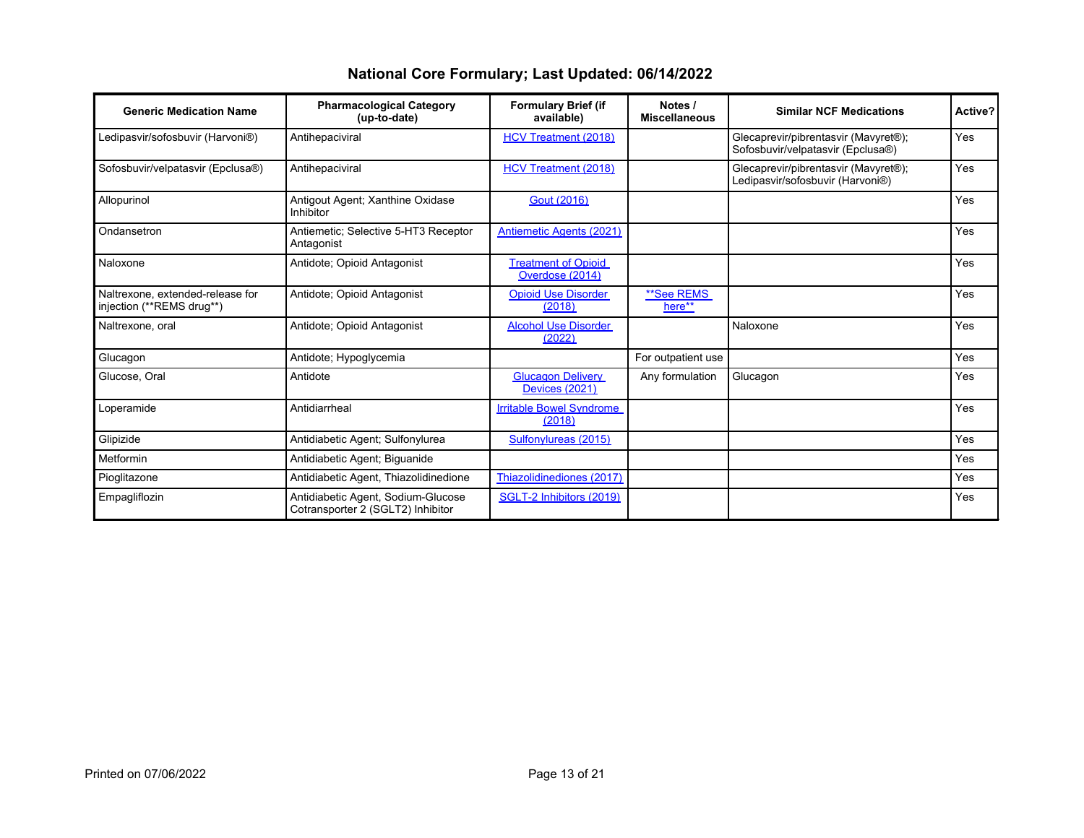| <b>Generic Medication Name</b>                                | <b>Pharmacological Category</b><br>(up-to-date)                         | <b>Formulary Brief (if</b><br>available)          | Notes /<br><b>Miscellaneous</b> | <b>Similar NCF Medications</b>                                            | Active?    |
|---------------------------------------------------------------|-------------------------------------------------------------------------|---------------------------------------------------|---------------------------------|---------------------------------------------------------------------------|------------|
| Ledipasvir/sofosbuvir (Harvoni®)                              | Antihepaciviral                                                         | HCV Treatment (2018)                              |                                 | Glecaprevir/pibrentasvir (Mavyret®);<br>Sofosbuvir/velpatasvir (Epclusa®) | Yes        |
| Sofosbuvir/velpatasvir (Epclusa®)                             | Antihepaciviral                                                         | <b>HCV Treatment (2018)</b>                       |                                 | Glecaprevir/pibrentasvir (Mavyret®);<br>Ledipasvir/sofosbuvir (Harvoni®)  | Yes        |
| Allopurinol                                                   | Antigout Agent; Xanthine Oxidase<br>Inhibitor                           | Gout (2016)                                       |                                 |                                                                           | <b>Yes</b> |
| Ondansetron                                                   | Antiemetic: Selective 5-HT3 Receptor<br>Antagonist                      | <b>Antiemetic Agents (2021)</b>                   |                                 |                                                                           | Yes        |
| Naloxone                                                      | Antidote: Opioid Antagonist                                             |                                                   |                                 |                                                                           | <b>Yes</b> |
| Naltrexone, extended-release for<br>injection (**REMS drug**) | Antidote; Opioid Antagonist                                             |                                                   | **See REMS<br>here**            |                                                                           | Yes        |
| Naltrexone, oral                                              | Antidote: Opioid Antagonist                                             | <b>Alcohol Use Disorder</b><br>(2022)             |                                 | Naloxone                                                                  | Yes        |
| Glucagon                                                      | Antidote: Hypoglycemia                                                  |                                                   | For outpatient use              |                                                                           | Yes        |
| Glucose, Oral                                                 | Antidote                                                                | <b>Glucagon Delivery</b><br><b>Devices (2021)</b> | Any formulation                 | Glucagon                                                                  | Yes        |
| Loperamide                                                    | Antidiarrheal                                                           | <b>Irritable Bowel Syndrome</b><br>(2018)         |                                 |                                                                           | Yes        |
| Glipizide                                                     | Antidiabetic Agent; Sulfonylurea                                        | Sulfonylureas (2015)                              |                                 |                                                                           | Yes        |
| Metformin                                                     | Antidiabetic Agent; Biguanide                                           |                                                   |                                 |                                                                           | Yes        |
| Pioglitazone                                                  | Antidiabetic Agent, Thiazolidinedione                                   | Thiazolidinediones (2017)                         |                                 |                                                                           | Yes        |
| Empagliflozin                                                 | Antidiabetic Agent, Sodium-Glucose<br>Cotransporter 2 (SGLT2) Inhibitor | SGLT-2 Inhibitors (2019)                          |                                 |                                                                           | Yes        |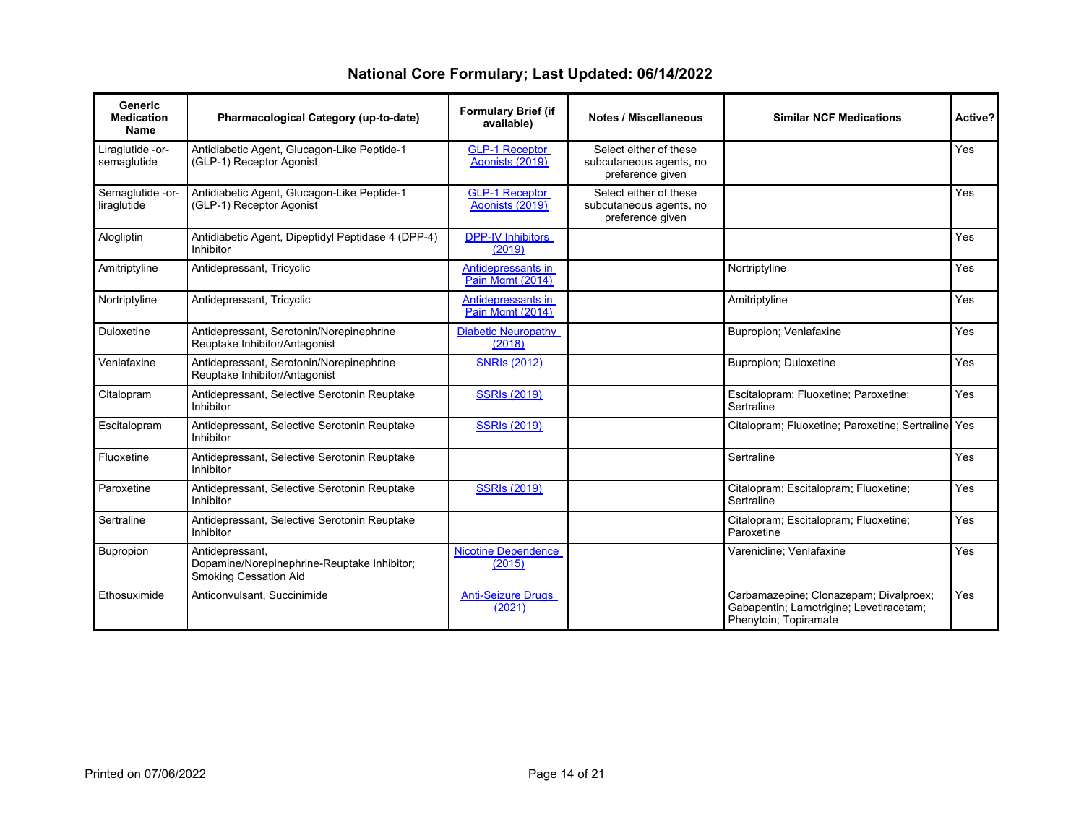| National Core Formulary; Last Updated: 06/14/2022 |
|---------------------------------------------------|
|---------------------------------------------------|

| <b>Generic</b><br><b>Medication</b><br>Name | Pharmacological Category (up-to-date)                                                   | <b>Formulary Brief (if</b><br>available) | <b>Notes / Miscellaneous</b>                                          | <b>Similar NCF Medications</b>                                                                             | Active?    |
|---------------------------------------------|-----------------------------------------------------------------------------------------|------------------------------------------|-----------------------------------------------------------------------|------------------------------------------------------------------------------------------------------------|------------|
| Liraglutide -or-<br>semaglutide             | Antidiabetic Agent, Glucagon-Like Peptide-1<br>(GLP-1) Receptor Agonist                 | <b>GLP-1 Receptor</b><br>Agonists (2019) | Select either of these<br>subcutaneous agents, no<br>preference given |                                                                                                            | Yes        |
| Semaglutide -or-<br>liraglutide             | Antidiabetic Agent, Glucagon-Like Peptide-1<br>(GLP-1) Receptor Agonist                 | <b>GLP-1 Receptor</b><br>Agonists (2019) | Select either of these<br>subcutaneous agents, no<br>preference given |                                                                                                            | Yes        |
| Alogliptin                                  | Antidiabetic Agent, Dipeptidyl Peptidase 4 (DPP-4)<br>Inhibitor                         | <b>DPP-IV Inhibitors</b><br>(2019)       |                                                                       |                                                                                                            | <b>Yes</b> |
| Amitriptyline                               | Antidepressant, Tricyclic                                                               | Antidepressants in<br>Pain Mamt (2014)   |                                                                       | Nortriptyline                                                                                              | Yes        |
| Nortriptyline                               | Antidepressant, Tricyclic                                                               | Antidepressants in<br>Pain Mamt (2014)   |                                                                       | Amitriptyline                                                                                              | Yes        |
| Duloxetine                                  | Antidepressant, Serotonin/Norepinephrine<br>Reuptake Inhibitor/Antagonist               | <b>Diabetic Neuropathy</b><br>(2018)     |                                                                       | Bupropion: Venlafaxine                                                                                     | Yes        |
| Venlafaxine                                 | Antidepressant, Serotonin/Norepinephrine<br>Reuptake Inhibitor/Antagonist               | <b>SNRIs (2012)</b>                      |                                                                       | <b>Bupropion</b> ; Duloxetine                                                                              | Yes        |
| Citalopram                                  | Antidepressant, Selective Serotonin Reuptake<br>Inhibitor                               | <b>SSRIs (2019)</b>                      |                                                                       | Escitalopram; Fluoxetine; Paroxetine;<br>Sertraline                                                        | Yes        |
| Escitalopram                                | Antidepressant, Selective Serotonin Reuptake<br>Inhibitor                               | <b>SSRIs (2019)</b>                      |                                                                       | Citalopram; Fluoxetine; Paroxetine; Sertraline Yes                                                         |            |
| Fluoxetine                                  | Antidepressant, Selective Serotonin Reuptake<br>Inhibitor                               |                                          |                                                                       | Sertraline                                                                                                 | Yes        |
| Paroxetine                                  | Antidepressant, Selective Serotonin Reuptake<br>Inhibitor                               | <b>SSRIs (2019)</b>                      |                                                                       | Citalopram; Escitalopram; Fluoxetine;<br>Sertraline                                                        | <b>Yes</b> |
| Sertraline                                  | Antidepressant, Selective Serotonin Reuptake<br>Inhibitor                               |                                          |                                                                       | Citalopram; Escitalopram; Fluoxetine;<br>Paroxetine                                                        | Yes        |
| Bupropion                                   | Antidepressant,<br>Dopamine/Norepinephrine-Reuptake Inhibitor;<br>Smoking Cessation Aid | <b>Nicotine Dependence</b><br>(2015)     |                                                                       | Varenicline; Venlafaxine                                                                                   | <b>Yes</b> |
| Ethosuximide                                | Anticonvulsant, Succinimide                                                             | <b>Anti-Seizure Drugs</b><br>(2021)      |                                                                       | Carbamazepine; Clonazepam; Divalproex;<br>Gabapentin; Lamotrigine; Levetiracetam;<br>Phenytoin; Topiramate | <b>Yes</b> |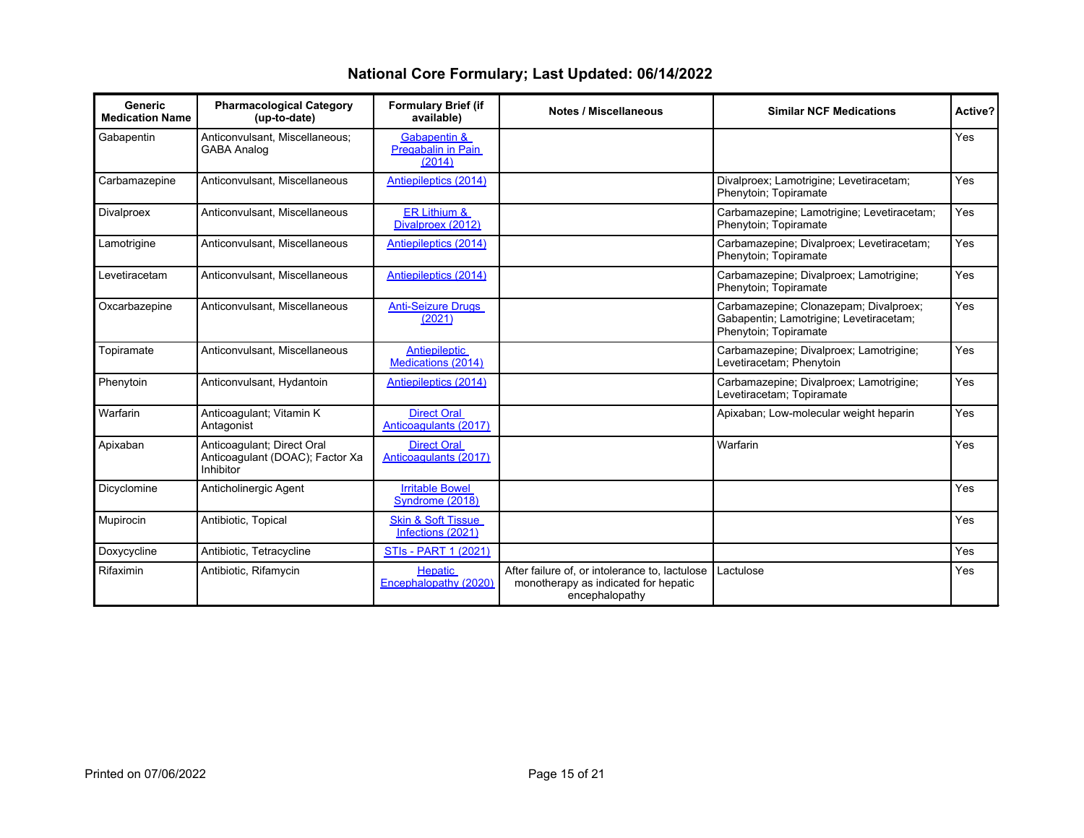| Generic<br><b>Medication Name</b> | <b>Pharmacological Category</b><br>(up-to-date)                            | <b>Formulary Brief (if</b><br>available)           | <b>Notes / Miscellaneous</b>                                                                             | <b>Similar NCF Medications</b>                                                                             | Active?    |
|-----------------------------------|----------------------------------------------------------------------------|----------------------------------------------------|----------------------------------------------------------------------------------------------------------|------------------------------------------------------------------------------------------------------------|------------|
| Gabapentin                        | Anticonvulsant. Miscellaneous:<br><b>GABA Analog</b>                       | Gabapentin &<br>Pregabalin in Pain<br>(2014)       |                                                                                                          |                                                                                                            | Yes        |
| Carbamazepine                     | Anticonvulsant, Miscellaneous                                              | Antiepileptics (2014)                              |                                                                                                          | Divalproex; Lamotrigine; Levetiracetam;<br>Phenytoin; Topiramate                                           | Yes        |
| Divalproex                        | Anticonvulsant, Miscellaneous                                              | ER Lithium &<br>Divalproex (2012)                  |                                                                                                          | Carbamazepine; Lamotrigine; Levetiracetam;<br>Phenytoin; Topiramate                                        | <b>Yes</b> |
| Lamotrigine                       | Anticonvulsant, Miscellaneous                                              | Antiepileptics (2014)                              |                                                                                                          | Carbamazepine; Divalproex; Levetiracetam;<br>Phenytoin; Topiramate                                         | Yes        |
| Levetiracetam                     | Anticonvulsant, Miscellaneous                                              | Antiepileptics (2014)                              |                                                                                                          | Carbamazepine; Divalproex; Lamotrigine;<br>Phenytoin; Topiramate                                           | <b>Yes</b> |
| Oxcarbazepine                     | Anticonvulsant, Miscellaneous                                              | <b>Anti-Seizure Drugs</b><br>(2021)                |                                                                                                          | Carbamazepine; Clonazepam; Divalproex;<br>Gabapentin; Lamotrigine; Levetiracetam;<br>Phenytoin; Topiramate | Yes        |
| Topiramate                        | Anticonvulsant, Miscellaneous                                              | <b>Antiepileptic</b><br>Medications (2014)         |                                                                                                          | Carbamazepine; Divalproex; Lamotrigine;<br>Levetiracetam; Phenytoin                                        | Yes        |
| Phenytoin                         | Anticonvulsant, Hydantoin                                                  | Antiepileptics (2014)                              |                                                                                                          | Carbamazepine; Divalproex; Lamotrigine;<br>Levetiracetam; Topiramate                                       | Yes        |
| Warfarin                          | Anticoagulant; Vitamin K<br>Antagonist                                     | <b>Direct Oral</b><br>Anticoagulants (2017)        |                                                                                                          | Apixaban; Low-molecular weight heparin                                                                     | Yes        |
| Apixaban                          | Anticoaqulant; Direct Oral<br>Anticoaqulant (DOAC); Factor Xa<br>Inhibitor | <b>Direct Oral</b><br>Anticoagulants (2017)        |                                                                                                          | Warfarin                                                                                                   | Yes        |
| Dicyclomine                       | Anticholinergic Agent                                                      | <b>Irritable Bowel</b><br>Syndrome (2018)          |                                                                                                          |                                                                                                            | Yes        |
| Mupirocin                         | Antibiotic, Topical                                                        | <b>Skin &amp; Soft Tissue</b><br>Infections (2021) |                                                                                                          |                                                                                                            | <b>Yes</b> |
| Doxycycline                       | Antibiotic, Tetracycline                                                   | <b>STIs - PART 1 (2021)</b>                        |                                                                                                          |                                                                                                            | Yes        |
| Rifaximin                         | Antibiotic, Rifamycin                                                      | <b>Hepatic</b><br>Encephalopathy (2020)            | After failure of, or intolerance to, lactulose<br>monotherapy as indicated for hepatic<br>encephalopathy | Lactulose                                                                                                  | <b>Yes</b> |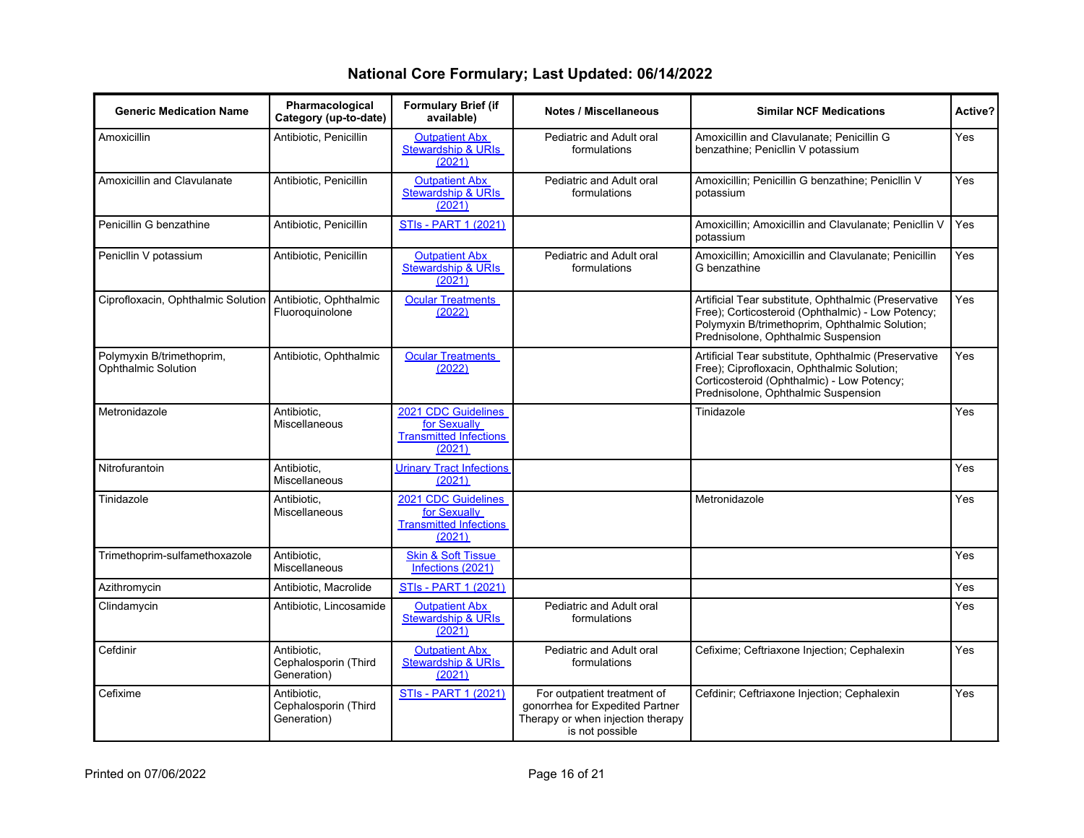#### **Generic Medication Name Pharmacological Category (up-to-date) Formulary Brief (if Audies / Miscellaneous by Similar NCF Medications by Active?** Amoxicillin Antibiotic, Penicillin **Cutpatient Abx** [Stewardship & URIs](https://www.ihs.gov/sites/nptc/themes/responsive2017/display_objects/documents/guidance/NPTC-Formulary-Brief-Abx-Stewardship-URI.pdf) [\(2021\)](https://www.ihs.gov/sites/nptc/themes/responsive2017/display_objects/documents/guidance/NPTC-Formulary-Brief-Abx-Stewardship-URI.pdf) Pediatric and Adult oral formulations Amoxicillin and Clavulanate; Penicillin G benzathine; Penicllin V potassium Yes Amoxicillin and Clavulanate | Antibiotic, Penicillin | [Outpatient Abx](https://www.ihs.gov/sites/nptc/themes/responsive2017/display_objects/documents/guidance/NPTC-Formulary-Brief-Abx-Stewardship-URI.pdf) [Stewardship & URIs](https://www.ihs.gov/sites/nptc/themes/responsive2017/display_objects/documents/guidance/NPTC-Formulary-Brief-Abx-Stewardship-URI.pdf) [\(2021\)](https://www.ihs.gov/sites/nptc/themes/responsive2017/display_objects/documents/guidance/NPTC-Formulary-Brief-Abx-Stewardship-URI.pdf) Pediatric and Adult oral formulations Amoxicillin; Penicillin G benzathine; Penicllin V potassium Yes Penicillin G benzathine Antibiotic, Penicillin [STIs - PART 1 \(2021\)](https://www.ihs.gov/sites/nptc/themes/responsive2017/display_objects/documents/guidance/NPTC-Formulary-Brief-Sexually-Transmitted-Infections-Part-I.pdf) Amoxicillin; Amoxicillin; Amoxicillin and Clavulanate; Penicllin V potassium Yes Penicllin V potassium **Antibiotic, Penicillin Cutpatient Abx** [Stewardship & URIs](https://www.ihs.gov/sites/nptc/themes/responsive2017/display_objects/documents/guidance/NPTC-Formulary-Brief-Abx-Stewardship-URI.pdf) [\(2021\)](https://www.ihs.gov/sites/nptc/themes/responsive2017/display_objects/documents/guidance/NPTC-Formulary-Brief-Abx-Stewardship-URI.pdf) Pediatric and Adult oral formulations Amoxicillin; Amoxicillin and Clavulanate; Penicillin G benzathine Yes Ciprofloxacin, Ophthalmic Solution | Antibiotic, Ophthalmic Fluoroquinolone **[Ocular Treatments](https://www.ihs.gov/sites/nptc/themes/responsive2017/display_objects/documents/guidance/NPTC-Formulary-Brief-Gender-Affirming-Medications.pdf)** [\(2022\)](https://www.ihs.gov/sites/nptc/themes/responsive2017/display_objects/documents/guidance/NPTC-Formulary-Brief-Gender-Affirming-Medications.pdf) Artificial Tear substitute, Ophthalmic (Preservative Free); Corticosteroid (Ophthalmic) - Low Potency; Polymyxin B/trimethoprim, Ophthalmic Solution; Prednisolone, Ophthalmic Suspension Yes Polymyxin B/trimethoprim, Ophthalmic Solution Antibiotic, Ophthalmic | [Ocular Treatments](https://www.ihs.gov/sites/nptc/themes/responsive2017/display_objects/documents/guidance/NPTC-Formulary-Brief-Ocular-Treatments-for-KeratoConjuntivitis.pdf) [\(2022\)](https://www.ihs.gov/sites/nptc/themes/responsive2017/display_objects/documents/guidance/NPTC-Formulary-Brief-Ocular-Treatments-for-KeratoConjuntivitis.pdf) Artificial Tear substitute, Ophthalmic (Preservative Free); Ciprofloxacin, Ophthalmic Solution; Corticosteroid (Ophthalmic) - Low Potency; Prednisolone, Ophthalmic Suspension Yes Metronidazole **Antibiotic**, Miscellaneous [2021 CDC Guidelines](https://www.ihs.gov/sites/nptc/themes/responsive2017/display_objects/documents/guidance/NPTC-Formulary-Brief-2021-STIs-Guidelines.pdf) [for Sexually](https://www.ihs.gov/sites/nptc/themes/responsive2017/display_objects/documents/guidance/NPTC-Formulary-Brief-2021-STIs-Guidelines.pdf) [Transmitted Infections](https://www.ihs.gov/sites/nptc/themes/responsive2017/display_objects/documents/guidance/NPTC-Formulary-Brief-2021-STIs-Guidelines.pdf) [\(2021\)](https://www.ihs.gov/sites/nptc/themes/responsive2017/display_objects/documents/guidance/NPTC-Formulary-Brief-2021-STIs-Guidelines.pdf) Tinidazole **Yes** Nitrofurantoin Antibiotic, Miscellaneous [Urinary Tract Infections](https://www.ihs.gov/sites/nptc/themes/responsive2017/display_objects/documents/guidance/NPTC-Formulary-Brief-Urinary-Tract-Infections.pdf) [\(2021\)](https://www.ihs.gov/sites/nptc/themes/responsive2017/display_objects/documents/guidance/NPTC-Formulary-Brief-Urinary-Tract-Infections.pdf) Yes Tinidazole **Antibiotic**, Miscellaneous [2021 CDC Guidelines](https://www.ihs.gov/sites/nptc/themes/responsive2017/display_objects/documents/guidance/NPTC-Formulary-Brief-2021-STIs-Guidelines.pdf) [for Sexually](https://www.ihs.gov/sites/nptc/themes/responsive2017/display_objects/documents/guidance/NPTC-Formulary-Brief-2021-STIs-Guidelines.pdf) [Transmitted Infections](https://www.ihs.gov/sites/nptc/themes/responsive2017/display_objects/documents/guidance/NPTC-Formulary-Brief-2021-STIs-Guidelines.pdf) [\(2021\)](https://www.ihs.gov/sites/nptc/themes/responsive2017/display_objects/documents/guidance/NPTC-Formulary-Brief-2021-STIs-Guidelines.pdf) Metronidazole **Yes** Trimethoprim-sulfamethoxazole | Antibiotic, Miscellaneous [Skin & Soft Tissue](https://www.ihs.gov/sites/nptc/themes/responsive2017/display_objects/documents/guidance/NPTC-Formulary-Brief-Soft-Skin-Tissue-Infections.pdf) [Infections \(2021\)](https://www.ihs.gov/sites/nptc/themes/responsive2017/display_objects/documents/guidance/NPTC-Formulary-Brief-Soft-Skin-Tissue-Infections.pdf) Yes Azithromycin Antibiotic, Macrolide [STIs - PART 1 \(2021\)](https://www.ihs.gov/sites/nptc/themes/responsive2017/display_objects/documents/guidance/NPTC-Formulary-Brief-Sexually-Transmitted-Infections-Part-I.pdf) Yes Clindamycin **Antibiotic, Lincosamide** [Outpatient Abx](https://www.ihs.gov/sites/nptc/themes/responsive2017/display_objects/documents/guidance/NPTC-Formulary-Brief-Abx-Stewardship-URI.pdf) [Stewardship & URIs](https://www.ihs.gov/sites/nptc/themes/responsive2017/display_objects/documents/guidance/NPTC-Formulary-Brief-Abx-Stewardship-URI.pdf) [\(2021\)](https://www.ihs.gov/sites/nptc/themes/responsive2017/display_objects/documents/guidance/NPTC-Formulary-Brief-Abx-Stewardship-URI.pdf) Pediatric and Adult oral formulations Yes Cefdinir **Antibiotic, Cefdinir** Antibiotic, Cephalosporin (Third Generation) [Outpatient Abx](https://www.ihs.gov/sites/nptc/themes/responsive2017/display_objects/documents/guidance/NPTC-Formulary-Brief-Abx-Stewardship-URI.pdf) [Stewardship & URIs](https://www.ihs.gov/sites/nptc/themes/responsive2017/display_objects/documents/guidance/NPTC-Formulary-Brief-Abx-Stewardship-URI.pdf) [\(2021\)](https://www.ihs.gov/sites/nptc/themes/responsive2017/display_objects/documents/guidance/NPTC-Formulary-Brief-Abx-Stewardship-URI.pdf) Pediatric and Adult oral formulations Cefixime; Ceftriaxone Injection; Cephalexin Yes Cefixime **Antibiotic**, Cephalosporin (Third Generation) [STIs - PART 1 \(2021\)](https://www.ihs.gov/sites/nptc/themes/responsive2017/display_objects/documents/guidance/NPTC-Formulary-Brief-Sexually-Transmitted-Infections-Part-I.pdf) For outpatient treatment of gonorrhea for Expedited Partner Therapy or when injection therapy is not possible Cefdinir; Ceftriaxone Injection; Cephalexin | Yes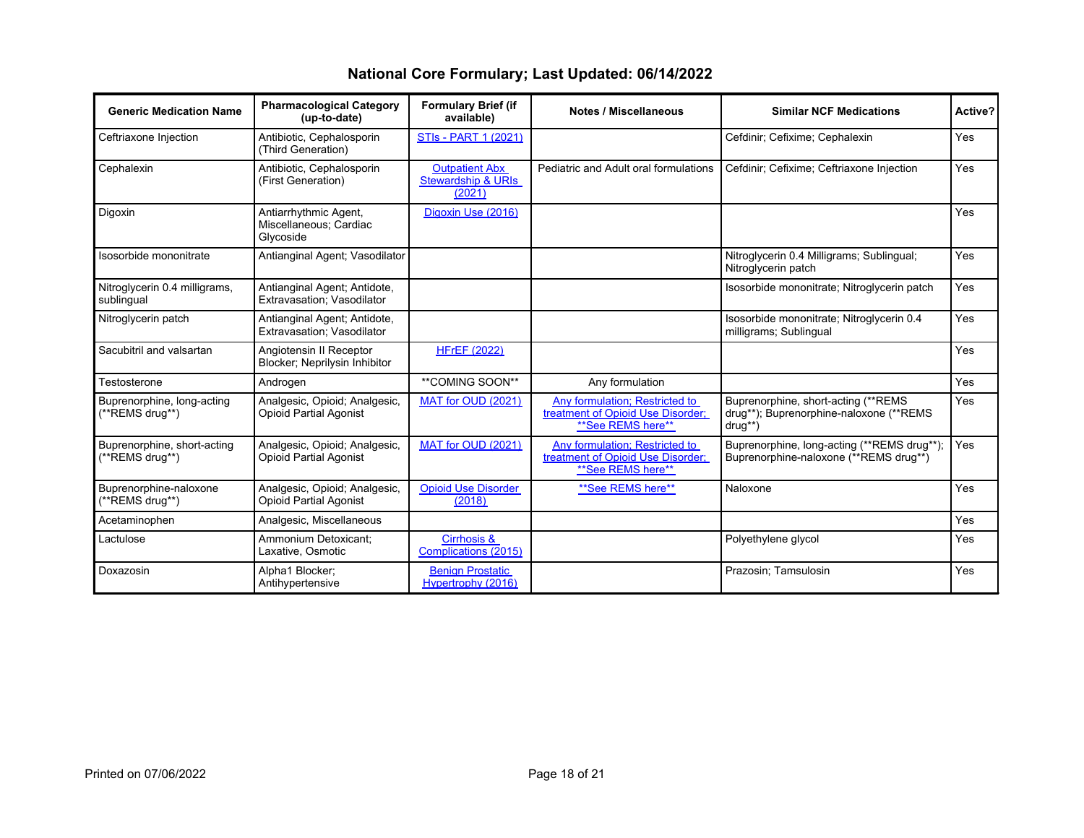| <b>Generic Medication Name</b>                 | <b>Pharmacological Category</b><br>(up-to-date)                | <b>Formulary Brief (if</b><br>available)                         | <b>Notes / Miscellaneous</b>                                                             | <b>Similar NCF Medications</b>                                                               | Active?    |
|------------------------------------------------|----------------------------------------------------------------|------------------------------------------------------------------|------------------------------------------------------------------------------------------|----------------------------------------------------------------------------------------------|------------|
| Ceftriaxone Injection                          | Antibiotic, Cephalosporin<br>(Third Generation)                | <b>STIs - PART 1 (2021)</b>                                      |                                                                                          | Cefdinir; Cefixime; Cephalexin                                                               | <b>Yes</b> |
| Cephalexin                                     | Antibiotic, Cephalosporin<br>(First Generation)                | <b>Outpatient Abx</b><br><b>Stewardship &amp; URIs</b><br>(2021) | Pediatric and Adult oral formulations                                                    | Cefdinir; Cefixime; Ceftriaxone Injection                                                    | Yes        |
| Digoxin                                        | Antiarrhythmic Agent,<br>Miscellaneous; Cardiac<br>Glycoside   | Digoxin Use (2016)                                               |                                                                                          |                                                                                              | Yes        |
| Isosorbide mononitrate                         | Antianginal Agent; Vasodilator                                 |                                                                  |                                                                                          | Nitroglycerin 0.4 Milligrams; Sublingual;<br>Nitroglycerin patch                             | Yes        |
| Nitroglycerin 0.4 milligrams,<br>sublingual    | Antianginal Agent; Antidote,<br>Extravasation; Vasodilator     |                                                                  |                                                                                          | Isosorbide mononitrate; Nitroglycerin patch                                                  | Yes        |
| Nitroglycerin patch                            | Antianginal Agent; Antidote,<br>Extravasation: Vasodilator     |                                                                  |                                                                                          | Isosorbide mononitrate; Nitroglycerin 0.4<br>milligrams; Sublingual                          | Yes        |
| Sacubitril and valsartan                       | Angiotensin II Receptor<br>Blocker; Neprilysin Inhibitor       | <b>HFrEF (2022)</b>                                              |                                                                                          |                                                                                              | Yes        |
| Testosterone                                   | Androgen                                                       | **COMING SOON**                                                  | Any formulation                                                                          |                                                                                              | Yes        |
| Buprenorphine, long-acting<br>(**REMS drug**)  | Analgesic, Opioid; Analgesic,<br><b>Opioid Partial Agonist</b> | MAT for OUD (2021)                                               | Any formulation; Restricted to<br>treatment of Opioid Use Disorder;<br>**See REMS here** | Buprenorphine, short-acting (**REMS)<br>drug**); Buprenorphine-naloxone (**REMS)<br>$drug**$ | Yes        |
| Buprenorphine, short-acting<br>(**REMS drug**) | Analgesic, Opioid; Analgesic,<br><b>Opioid Partial Agonist</b> | MAT for OUD (2021)                                               | Any formulation; Restricted to<br>treatment of Opioid Use Disorder:<br>**See REMS here** | Buprenorphine, long-acting (**REMS drug**);<br>Buprenorphine-naloxone (**REMS drug**)        | <b>Yes</b> |
| Buprenorphine-naloxone<br>(**REMS drug**)      | Analgesic, Opioid; Analgesic,<br><b>Opioid Partial Agonist</b> | <b>Opioid Use Disorder</b><br>(2018)                             | **See REMS here**                                                                        | Naloxone                                                                                     | Yes        |
| Acetaminophen                                  | Analgesic, Miscellaneous                                       |                                                                  |                                                                                          |                                                                                              | Yes        |
| Lactulose                                      | Ammonium Detoxicant:<br>Laxative, Osmotic                      | Cirrhosis &<br>Complications (2015)                              |                                                                                          | Polyethylene glycol                                                                          | Yes        |
| Doxazosin                                      | Alpha1 Blocker:<br>Antihypertensive                            | <b>Benign Prostatic</b><br>Hypertrophy (2016)                    |                                                                                          | Prazosin: Tamsulosin                                                                         | <b>Yes</b> |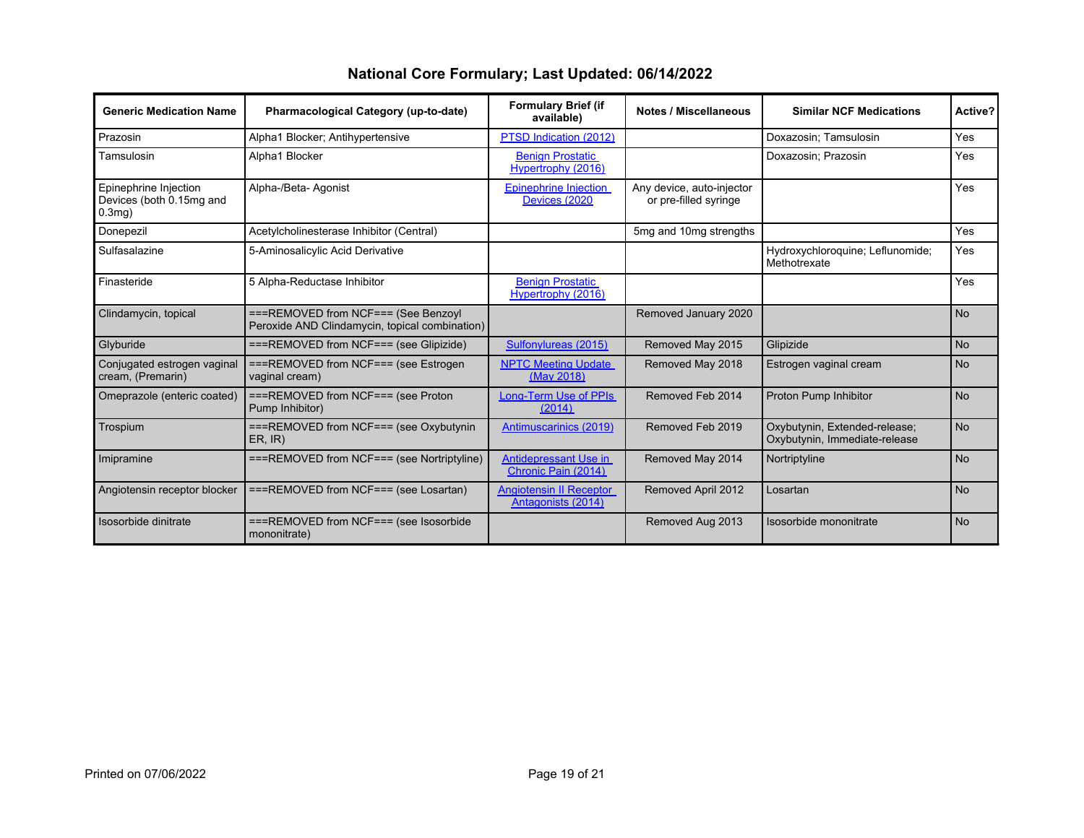| <b>Generic Medication Name</b>                                 | Pharmacological Category (up-to-date)                                                 | <b>Formulary Brief (if</b><br>available)             | <b>Notes / Miscellaneous</b>                       | <b>Similar NCF Medications</b>                                 | Active?   |
|----------------------------------------------------------------|---------------------------------------------------------------------------------------|------------------------------------------------------|----------------------------------------------------|----------------------------------------------------------------|-----------|
| Prazosin                                                       | Alpha1 Blocker; Antihypertensive                                                      | PTSD Indication (2012)                               |                                                    | Doxazosin; Tamsulosin                                          | Yes       |
| Tamsulosin                                                     | Alpha1 Blocker                                                                        | <b>Benign Prostatic</b><br>Hypertrophy (2016)        |                                                    | Doxazosin; Prazosin                                            | Yes       |
| Epinephrine Injection<br>Devices (both 0.15mg and<br>$0.3$ mg) | Alpha-/Beta- Agonist                                                                  | <b>Epinephrine Injection</b><br>Devices (2020        | Any device, auto-injector<br>or pre-filled syringe |                                                                | Yes       |
| Donepezil                                                      | Acetylcholinesterase Inhibitor (Central)                                              |                                                      | 5mg and 10mg strengths                             |                                                                | Yes       |
| Sulfasalazine                                                  | 5-Aminosalicylic Acid Derivative                                                      |                                                      |                                                    | Hydroxychloroquine; Leflunomide;<br>Methotrexate               | Yes       |
| Finasteride                                                    | 5 Alpha-Reductase Inhibitor                                                           | <b>Benign Prostatic</b><br>Hypertrophy (2016)        |                                                    |                                                                | Yes       |
| Clindamycin, topical                                           | ===REMOVED from NCF=== (See Benzoyl<br>Peroxide AND Clindamycin, topical combination) |                                                      | Removed January 2020                               |                                                                | <b>No</b> |
| Glyburide                                                      | ===REMOVED from NCF=== (see Glipizide)                                                | Sulfonylureas (2015)                                 | Removed May 2015                                   | Glipizide                                                      | <b>No</b> |
| Conjugated estrogen vaginal<br>cream, (Premarin)               | ===REMOVED from NCF=== (see Estrogen<br>vaginal cream)                                | <b>NPTC Meeting Update</b><br>(May 2018)             | Removed May 2018                                   | Estrogen vaginal cream                                         | <b>No</b> |
| Omeprazole (enteric coated)                                    | ===REMOVED from NCF=== (see Proton<br>Pump Inhibitor)                                 | Long-Term Use of PPIs<br>(2014)                      | Removed Feb 2014                                   | Proton Pump Inhibitor                                          | <b>No</b> |
| Trospium                                                       | ===REMOVED from NCF=== (see Oxybutynin<br>ER, IR)                                     | Antimuscarinics (2019)                               | Removed Feb 2019                                   | Oxybutynin, Extended-release;<br>Oxybutynin, Immediate-release | <b>No</b> |
| Imipramine                                                     | ===REMOVED from NCF=== (see Nortriptyline)                                            | Antidepressant Use in<br>Chronic Pain (2014)         | Removed May 2014                                   | Nortriptyline                                                  | <b>No</b> |
| Angiotensin receptor blocker                                   | ===REMOVED from NCF=== (see Losartan)                                                 | <b>Angiotensin II Receptor</b><br>Antagonists (2014) | Removed April 2012                                 | Losartan                                                       | <b>No</b> |
| Isosorbide dinitrate                                           | ===REMOVED from NCF=== (see Isosorbide<br>mononitrate)                                |                                                      | Removed Aug 2013                                   | Isosorbide mononitrate                                         | <b>No</b> |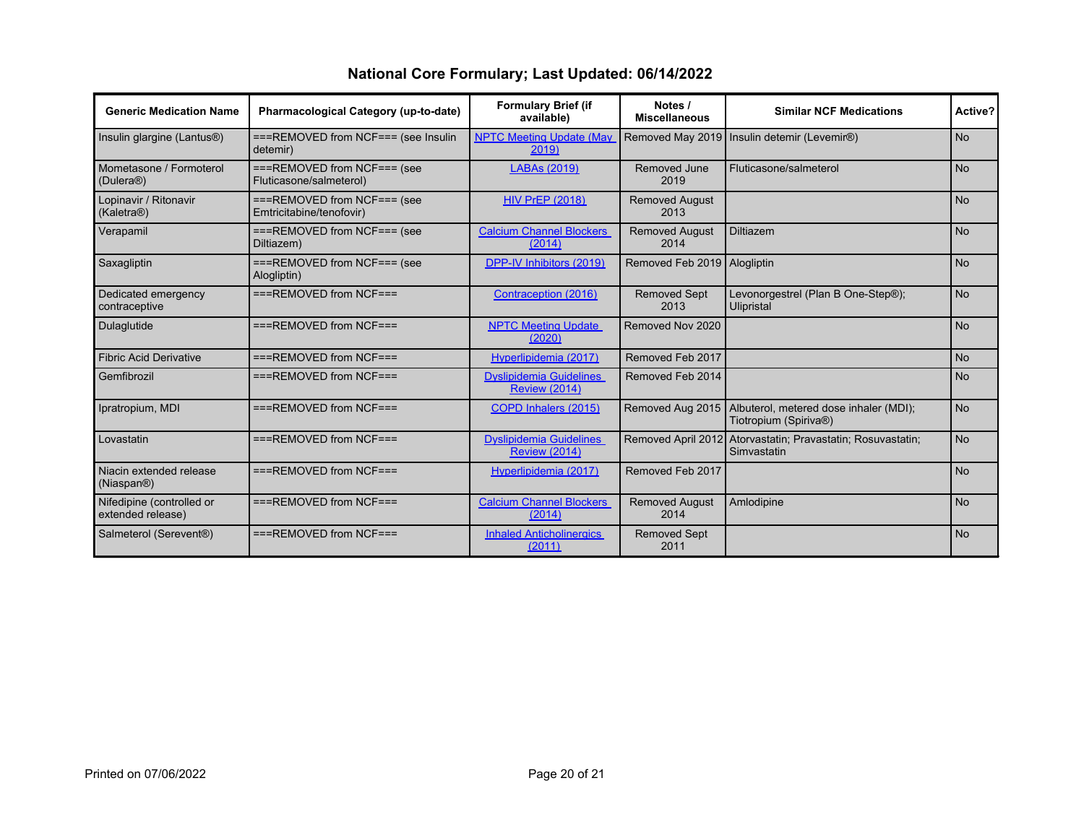| <b>Generic Medication Name</b>                     | Pharmacological Category (up-to-date)                     | <b>Formulary Brief (if</b><br>available)               | Notes /<br><b>Miscellaneous</b> | <b>Similar NCF Medications</b>                                             | Active?        |
|----------------------------------------------------|-----------------------------------------------------------|--------------------------------------------------------|---------------------------------|----------------------------------------------------------------------------|----------------|
| Insulin glargine (Lantus <sup>®)</sup>             | ===REMOVED from NCF=== (see Insulin<br>detemir)           | <b>NPTC Meeting Update (May</b><br>2019)               | Removed May 2019                | Insulin detemir (Levemir®)                                                 | <b>No</b>      |
| Mometasone / Formoterol<br>(Dulera <sup>®</sup> )  | $==$ REMOVED from NCF=== (see<br>Fluticasone/salmeterol)  | <b>LABAs (2019)</b>                                    | Removed June<br>2019            | Fluticasone/salmeterol                                                     | <b>No</b>      |
| Lopinavir / Ritonavir<br>(Kaletra <sup>®</sup> )   | $==$ REMOVED from NCF=== (see<br>Emtricitabine/tenofovir) | <b>HIV PrEP (2018)</b>                                 | <b>Removed August</b><br>2013   |                                                                            | N <sub>o</sub> |
| Verapamil                                          | $==$ REMOVED from NCF=== (see<br>Diltiazem)               | <b>Calcium Channel Blockers</b><br>(2014)              | <b>Removed August</b><br>2014   | <b>Diltiazem</b>                                                           | <b>No</b>      |
| Saxagliptin                                        | $==$ REMOVED from NCF=== (see<br>Alogliptin)              | DPP-IV Inhibitors (2019)                               | Removed Feb 2019   Alogliptin   |                                                                            | <b>No</b>      |
| Dedicated emergency<br>contraceptive               | $==$ REMOVED from NCF===                                  | Contraception (2016)                                   | <b>Removed Sept</b><br>2013     | Levonorgestrel (Plan B One-Step®);<br>Ulipristal                           | <b>No</b>      |
| Dulaglutide                                        | $==$ REMOVED from NCF===                                  | <b>NPTC Meeting Update</b><br>(2020)                   | Removed Nov 2020                |                                                                            | <b>No</b>      |
| <b>Fibric Acid Derivative</b>                      | $==$ REMOVED from NCF===                                  | Hyperlipidemia (2017)                                  | Removed Feb 2017                |                                                                            | <b>No</b>      |
| Gemfibrozil                                        | $==$ REMOVED from NCF===                                  | <b>Dyslipidemia Guidelines</b><br><b>Review (2014)</b> | Removed Feb 2014                |                                                                            | <b>No</b>      |
| Ipratropium, MDI                                   | $==$ REMOVED from NCF===                                  | COPD Inhalers (2015)                                   | Removed Aug 2015                | Albuterol, metered dose inhaler (MDI);<br>Tiotropium (Spiriva®)            | N <sub>o</sub> |
| Lovastatin                                         | $==$ REMOVED from NCF===                                  | <b>Dyslipidemia Guidelines</b><br><b>Review (2014)</b> |                                 | Removed April 2012 Atorvastatin; Pravastatin; Rosuvastatin;<br>Simvastatin | No             |
| Niacin extended release<br>(Niaspan <sup>®</sup> ) | $==$ REMOVED from NCF===                                  | Hyperlipidemia (2017)                                  | Removed Feb 2017                |                                                                            | <b>No</b>      |
| Nifedipine (controlled or<br>extended release)     | $==$ REMOVED from NCF===                                  | <b>Calcium Channel Blockers</b><br>(2014)              | <b>Removed August</b><br>2014   | Amlodipine                                                                 | <b>No</b>      |
| Salmeterol (Serevent®)                             | $==$ REMOVED from NCF===                                  | <b>Inhaled Anticholinergics</b><br>(2011)              | <b>Removed Sept</b><br>2011     |                                                                            | <b>No</b>      |